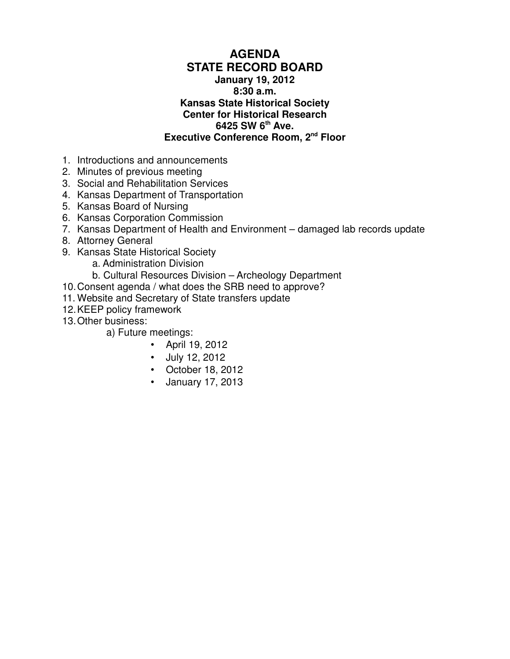## **AGENDA STATE RECORD BOARD January 19, 2012 8:30 a.m. Kansas State Historical Society Center for Historical Research 6425 SW 6th Ave. Executive Conference Room, 2nd Floor**

- 1. Introductions and announcements
- 2. Minutes of previous meeting
- 3. Social and Rehabilitation Services
- 4. Kansas Department of Transportation
- 5. Kansas Board of Nursing
- 6. Kansas Corporation Commission
- 7. Kansas Department of Health and Environment damaged lab records update
- 8. Attorney General
- 9. Kansas State Historical Society
	- a. Administration Division
	- b. Cultural Resources Division Archeology Department
- 10.Consent agenda / what does the SRB need to approve?
- 11. Website and Secretary of State transfers update
- 12.KEEP policy framework
- 13.Other business:
	- a) Future meetings:
		- April 19, 2012
		- July 12, 2012
		- October 18, 2012
		- January 17, 2013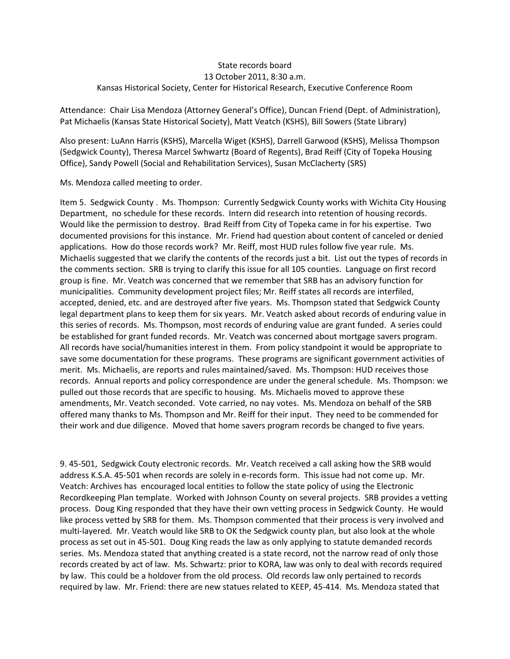#### State records board 13 October 2011, 8:30 a.m. Kansas Historical Society, Center for Historical Research, Executive Conference Room

Attendance: Chair Lisa Mendoza (Attorney General's Office), Duncan Friend (Dept. of Administration), Pat Michaelis (Kansas State Historical Society), Matt Veatch (KSHS), Bill Sowers (State Library)

Also present: LuAnn Harris (KSHS), Marcella Wiget (KSHS), Darrell Garwood (KSHS), Melissa Thompson (Sedgwick County), Theresa Marcel Swhwartz (Board of Regents), Brad Reiff (City of Topeka Housing Office), Sandy Powell (Social and Rehabilitation Services), Susan McClacherty (SRS)

Ms. Mendoza called meeting to order.

Item 5. Sedgwick County . Ms. Thompson: Currently Sedgwick County works with Wichita City Housing Department, no schedule for these records. Intern did research into retention of housing records. Would like the permission to destroy. Brad Reiff from City of Topeka came in for his expertise. Two documented provisions for this instance. Mr. Friend had question about content of canceled or denied applications. How do those records work? Mr. Reiff, most HUD rules follow five year rule. Ms. Michaelis suggested that we clarify the contents of the records just a bit. List out the types of records in the comments section. SRB is trying to clarify this issue for all 105 counties. Language on first record group is fine. Mr. Veatch was concerned that we remember that SRB has an advisory function for municipalities. Community development project files; Mr. Reiff states all records are interfiled, accepted, denied, etc. and are destroyed after five years. Ms. Thompson stated that Sedgwick County legal department plans to keep them for six years. Mr. Veatch asked about records of enduring value in this series of records. Ms. Thompson, most records of enduring value are grant funded. A series could be established for grant funded records. Mr. Veatch was concerned about mortgage savers program. All records have social/humanities interest in them. From policy standpoint it would be appropriate to save some documentation for these programs. These programs are significant government activities of merit. Ms. Michaelis, are reports and rules maintained/saved. Ms. Thompson: HUD receives those records. Annual reports and policy correspondence are under the general schedule. Ms. Thompson: we pulled out those records that are specific to housing. Ms. Michaelis moved to approve these amendments, Mr. Veatch seconded. Vote carried, no nay votes. Ms. Mendoza on behalf of the SRB offered many thanks to Ms. Thompson and Mr. Reiff for their input. They need to be commended for their work and due diligence. Moved that home savers program records be changed to five years.

9. 45-501, Sedgwick Couty electronic records. Mr. Veatch received a call asking how the SRB would address K.S.A. 45-501 when records are solely in e-records form. This issue had not come up. Mr. Veatch: Archives has encouraged local entities to follow the state policy of using the Electronic Recordkeeping Plan template. Worked with Johnson County on several projects. SRB provides a vetting process. Doug King responded that they have their own vetting process in Sedgwick County. He would like process vetted by SRB for them. Ms. Thompson commented that their process is very involved and multi-layered. Mr. Veatch would like SRB to OK the Sedgwick county plan, but also look at the whole process as set out in 45-501. Doug King reads the law as only applying to statute demanded records series. Ms. Mendoza stated that anything created is a state record, not the narrow read of only those records created by act of law. Ms. Schwartz: prior to KORA, law was only to deal with records required by law. This could be a holdover from the old process. Old records law only pertained to records required by law. Mr. Friend: there are new statues related to KEEP, 45-414. Ms. Mendoza stated that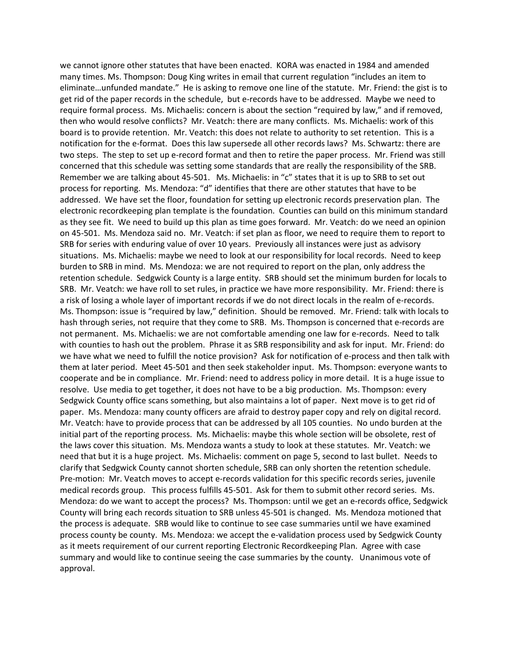we cannot ignore other statutes that have been enacted. KORA was enacted in 1984 and amended many times. Ms. Thompson: Doug King writes in email that current regulation "includes an item to eliminate…unfunded mandate." He is asking to remove one line of the statute. Mr. Friend: the gist is to get rid of the paper records in the schedule, but e-records have to be addressed. Maybe we need to require formal process. Ms. Michaelis: concern is about the section "required by law," and if removed, then who would resolve conflicts? Mr. Veatch: there are many conflicts. Ms. Michaelis: work of this board is to provide retention. Mr. Veatch: this does not relate to authority to set retention. This is a notification for the e-format. Does this law supersede all other records laws? Ms. Schwartz: there are two steps. The step to set up e-record format and then to retire the paper process. Mr. Friend was still concerned that this schedule was setting some standards that are really the responsibility of the SRB. Remember we are talking about 45-501. Ms. Michaelis: in "c" states that it is up to SRB to set out process for reporting. Ms. Mendoza: "d" identifies that there are other statutes that have to be addressed. We have set the floor, foundation for setting up electronic records preservation plan. The electronic recordkeeping plan template is the foundation. Counties can build on this minimum standard as they see fit. We need to build up this plan as time goes forward. Mr. Veatch: do we need an opinion on 45-501. Ms. Mendoza said no. Mr. Veatch: if set plan as floor, we need to require them to report to SRB for series with enduring value of over 10 years. Previously all instances were just as advisory situations. Ms. Michaelis: maybe we need to look at our responsibility for local records. Need to keep burden to SRB in mind. Ms. Mendoza: we are not required to report on the plan, only address the retention schedule. Sedgwick County is a large entity. SRB should set the minimum burden for locals to SRB. Mr. Veatch: we have roll to set rules, in practice we have more responsibility. Mr. Friend: there is a risk of losing a whole layer of important records if we do not direct locals in the realm of e-records. Ms. Thompson: issue is "required by law," definition. Should be removed. Mr. Friend: talk with locals to hash through series, not require that they come to SRB. Ms. Thompson is concerned that e-records are not permanent. Ms. Michaelis: we are not comfortable amending one law for e-records. Need to talk with counties to hash out the problem. Phrase it as SRB responsibility and ask for input. Mr. Friend: do we have what we need to fulfill the notice provision? Ask for notification of e-process and then talk with them at later period. Meet 45-501 and then seek stakeholder input. Ms. Thompson: everyone wants to cooperate and be in compliance. Mr. Friend: need to address policy in more detail. It is a huge issue to resolve. Use media to get together, it does not have to be a big production. Ms. Thompson: every Sedgwick County office scans something, but also maintains a lot of paper. Next move is to get rid of paper. Ms. Mendoza: many county officers are afraid to destroy paper copy and rely on digital record. Mr. Veatch: have to provide process that can be addressed by all 105 counties. No undo burden at the initial part of the reporting process. Ms. Michaelis: maybe this whole section will be obsolete, rest of the laws cover this situation. Ms. Mendoza wants a study to look at these statutes. Mr. Veatch: we need that but it is a huge project. Ms. Michaelis: comment on page 5, second to last bullet. Needs to clarify that Sedgwick County cannot shorten schedule, SRB can only shorten the retention schedule. Pre-motion: Mr. Veatch moves to accept e-records validation for this specific records series, juvenile medical records group. This process fulfills 45-501. Ask for them to submit other record series. Ms. Mendoza: do we want to accept the process? Ms. Thompson: until we get an e-records office, Sedgwick County will bring each records situation to SRB unless 45-501 is changed. Ms. Mendoza motioned that the process is adequate. SRB would like to continue to see case summaries until we have examined process county be county. Ms. Mendoza: we accept the e-validation process used by Sedgwick County as it meets requirement of our current reporting Electronic Recordkeeping Plan. Agree with case summary and would like to continue seeing the case summaries by the county. Unanimous vote of approval.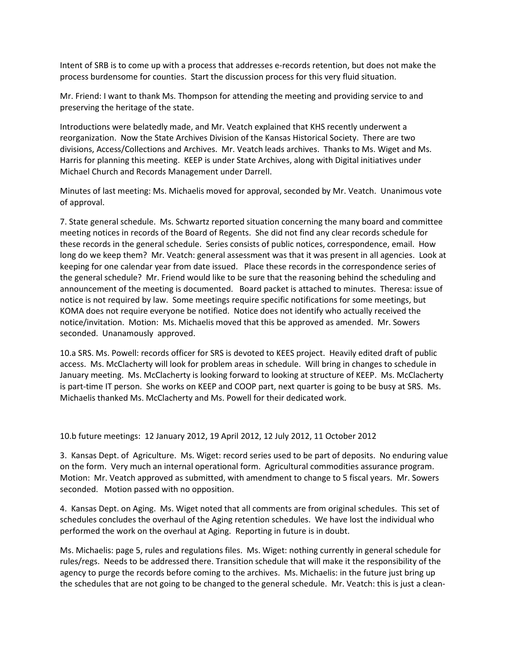Intent of SRB is to come up with a process that addresses e-records retention, but does not make the process burdensome for counties. Start the discussion process for this very fluid situation.

Mr. Friend: I want to thank Ms. Thompson for attending the meeting and providing service to and preserving the heritage of the state.

Introductions were belatedly made, and Mr. Veatch explained that KHS recently underwent a reorganization. Now the State Archives Division of the Kansas Historical Society. There are two divisions, Access/Collections and Archives. Mr. Veatch leads archives. Thanks to Ms. Wiget and Ms. Harris for planning this meeting. KEEP is under State Archives, along with Digital initiatives under Michael Church and Records Management under Darrell.

Minutes of last meeting: Ms. Michaelis moved for approval, seconded by Mr. Veatch. Unanimous vote of approval.

7. State general schedule. Ms. Schwartz reported situation concerning the many board and committee meeting notices in records of the Board of Regents. She did not find any clear records schedule for these records in the general schedule. Series consists of public notices, correspondence, email. How long do we keep them? Mr. Veatch: general assessment was that it was present in all agencies. Look at keeping for one calendar year from date issued. Place these records in the correspondence series of the general schedule? Mr. Friend would like to be sure that the reasoning behind the scheduling and announcement of the meeting is documented. Board packet is attached to minutes. Theresa: issue of notice is not required by law. Some meetings require specific notifications for some meetings, but KOMA does not require everyone be notified. Notice does not identify who actually received the notice/invitation. Motion: Ms. Michaelis moved that this be approved as amended. Mr. Sowers seconded. Unanamously approved.

10.a SRS. Ms. Powell: records officer for SRS is devoted to KEES project. Heavily edited draft of public access. Ms. McClacherty will look for problem areas in schedule. Will bring in changes to schedule in January meeting. Ms. McClacherty is looking forward to looking at structure of KEEP. Ms. McClacherty is part-time IT person. She works on KEEP and COOP part, next quarter is going to be busy at SRS. Ms. Michaelis thanked Ms. McClacherty and Ms. Powell for their dedicated work.

10.b future meetings: 12 January 2012, 19 April 2012, 12 July 2012, 11 October 2012

3. Kansas Dept. of Agriculture. Ms. Wiget: record series used to be part of deposits. No enduring value on the form. Very much an internal operational form. Agricultural commodities assurance program. Motion: Mr. Veatch approved as submitted, with amendment to change to 5 fiscal years. Mr. Sowers seconded. Motion passed with no opposition.

4. Kansas Dept. on Aging. Ms. Wiget noted that all comments are from original schedules. This set of schedules concludes the overhaul of the Aging retention schedules. We have lost the individual who performed the work on the overhaul at Aging. Reporting in future is in doubt.

Ms. Michaelis: page 5, rules and regulations files. Ms. Wiget: nothing currently in general schedule for rules/regs. Needs to be addressed there. Transition schedule that will make it the responsibility of the agency to purge the records before coming to the archives. Ms. Michaelis: in the future just bring up the schedules that are not going to be changed to the general schedule. Mr. Veatch: this is just a clean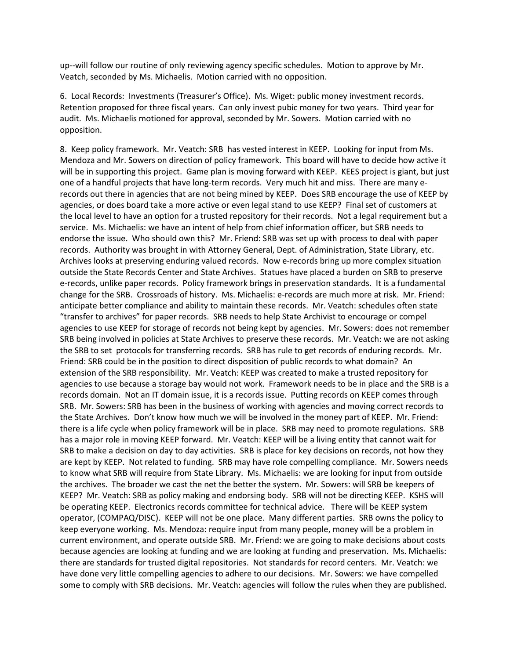up--will follow our routine of only reviewing agency specific schedules. Motion to approve by Mr. Veatch, seconded by Ms. Michaelis. Motion carried with no opposition.

6. Local Records: Investments (Treasurer's Office). Ms. Wiget: public money investment records. Retention proposed for three fiscal years. Can only invest pubic money for two years. Third year for audit. Ms. Michaelis motioned for approval, seconded by Mr. Sowers. Motion carried with no opposition.

8. Keep policy framework. Mr. Veatch: SRB has vested interest in KEEP. Looking for input from Ms. Mendoza and Mr. Sowers on direction of policy framework. This board will have to decide how active it will be in supporting this project. Game plan is moving forward with KEEP. KEES project is giant, but just one of a handful projects that have long-term records. Very much hit and miss. There are many erecords out there in agencies that are not being mined by KEEP. Does SRB encourage the use of KEEP by agencies, or does board take a more active or even legal stand to use KEEP? Final set of customers at the local level to have an option for a trusted repository for their records. Not a legal requirement but a service. Ms. Michaelis: we have an intent of help from chief information officer, but SRB needs to endorse the issue. Who should own this? Mr. Friend: SRB was set up with process to deal with paper records. Authority was brought in with Attorney General, Dept. of Administration, State Library, etc. Archives looks at preserving enduring valued records. Now e-records bring up more complex situation outside the State Records Center and State Archives. Statues have placed a burden on SRB to preserve e-records, unlike paper records. Policy framework brings in preservation standards. It is a fundamental change for the SRB. Crossroads of history. Ms. Michaelis: e-records are much more at risk. Mr. Friend: anticipate better compliance and ability to maintain these records. Mr. Veatch: schedules often state "transfer to archives" for paper records. SRB needs to help State Archivist to encourage or compel agencies to use KEEP for storage of records not being kept by agencies. Mr. Sowers: does not remember SRB being involved in policies at State Archives to preserve these records. Mr. Veatch: we are not asking the SRB to set protocols for transferring records. SRB has rule to get records of enduring records. Mr. Friend: SRB could be in the position to direct disposition of public records to what domain? An extension of the SRB responsibility. Mr. Veatch: KEEP was created to make a trusted repository for agencies to use because a storage bay would not work. Framework needs to be in place and the SRB is a records domain. Not an IT domain issue, it is a records issue. Putting records on KEEP comes through SRB. Mr. Sowers: SRB has been in the business of working with agencies and moving correct records to the State Archives. Don't know how much we will be involved in the money part of KEEP. Mr. Friend: there is a life cycle when policy framework will be in place. SRB may need to promote regulations. SRB has a major role in moving KEEP forward. Mr. Veatch: KEEP will be a living entity that cannot wait for SRB to make a decision on day to day activities. SRB is place for key decisions on records, not how they are kept by KEEP. Not related to funding. SRB may have role compelling compliance. Mr. Sowers needs to know what SRB will require from State Library. Ms. Michaelis: we are looking for input from outside the archives. The broader we cast the net the better the system. Mr. Sowers: will SRB be keepers of KEEP? Mr. Veatch: SRB as policy making and endorsing body. SRB will not be directing KEEP. KSHS will be operating KEEP. Electronics records committee for technical advice. There will be KEEP system operator, (COMPAQ/DISC). KEEP will not be one place. Many different parties. SRB owns the policy to keep everyone working. Ms. Mendoza: require input from many people, money will be a problem in current environment, and operate outside SRB. Mr. Friend: we are going to make decisions about costs because agencies are looking at funding and we are looking at funding and preservation. Ms. Michaelis: there are standards for trusted digital repositories. Not standards for record centers. Mr. Veatch: we have done very little compelling agencies to adhere to our decisions. Mr. Sowers: we have compelled some to comply with SRB decisions. Mr. Veatch: agencies will follow the rules when they are published.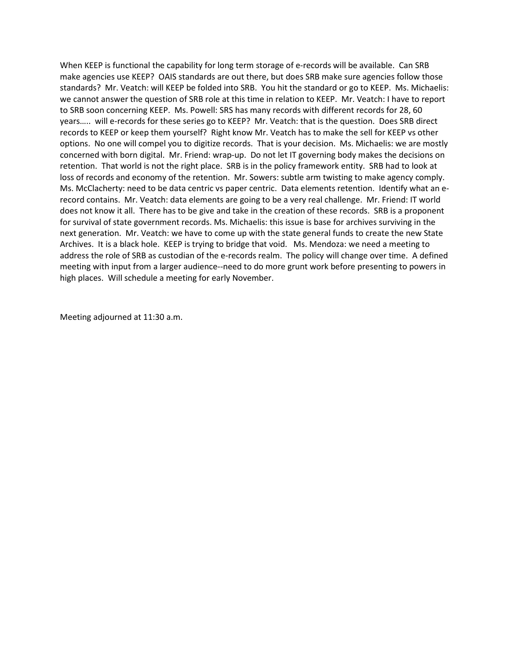When KEEP is functional the capability for long term storage of e-records will be available. Can SRB make agencies use KEEP? OAIS standards are out there, but does SRB make sure agencies follow those standards? Mr. Veatch: will KEEP be folded into SRB. You hit the standard or go to KEEP. Ms. Michaelis: we cannot answer the question of SRB role at this time in relation to KEEP. Mr. Veatch: I have to report to SRB soon concerning KEEP. Ms. Powell: SRS has many records with different records for 28, 60 years….. will e-records for these series go to KEEP? Mr. Veatch: that is the question. Does SRB direct records to KEEP or keep them yourself? Right know Mr. Veatch has to make the sell for KEEP vs other options. No one will compel you to digitize records. That is your decision. Ms. Michaelis: we are mostly concerned with born digital. Mr. Friend: wrap-up. Do not let IT governing body makes the decisions on retention. That world is not the right place. SRB is in the policy framework entity. SRB had to look at loss of records and economy of the retention. Mr. Sowers: subtle arm twisting to make agency comply. Ms. McClacherty: need to be data centric vs paper centric. Data elements retention. Identify what an erecord contains. Mr. Veatch: data elements are going to be a very real challenge. Mr. Friend: IT world does not know it all. There has to be give and take in the creation of these records. SRB is a proponent for survival of state government records. Ms. Michaelis: this issue is base for archives surviving in the next generation. Mr. Veatch: we have to come up with the state general funds to create the new State Archives. It is a black hole. KEEP is trying to bridge that void. Ms. Mendoza: we need a meeting to address the role of SRB as custodian of the e-records realm. The policy will change over time. A defined meeting with input from a larger audience--need to do more grunt work before presenting to powers in high places. Will schedule a meeting for early November.

Meeting adjourned at 11:30 a.m.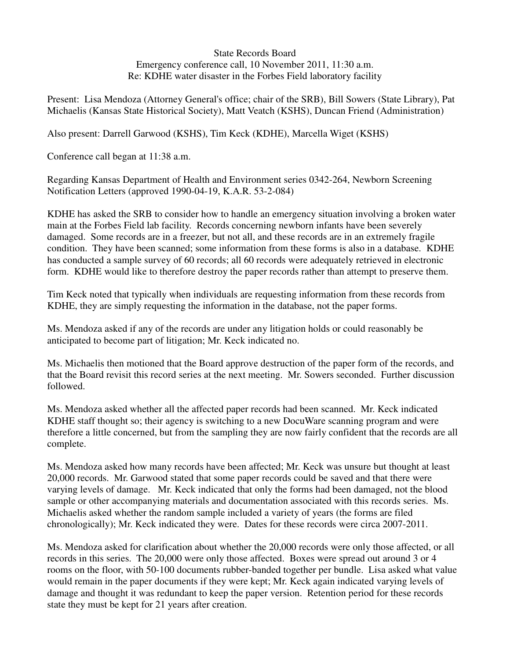### State Records Board Emergency conference call, 10 November 2011, 11:30 a.m. Re: KDHE water disaster in the Forbes Field laboratory facility

Present: Lisa Mendoza (Attorney General's office; chair of the SRB), Bill Sowers (State Library), Pat Michaelis (Kansas State Historical Society), Matt Veatch (KSHS), Duncan Friend (Administration)

Also present: Darrell Garwood (KSHS), Tim Keck (KDHE), Marcella Wiget (KSHS)

Conference call began at 11:38 a.m.

Regarding Kansas Department of Health and Environment series 0342-264, Newborn Screening Notification Letters (approved 1990-04-19, K.A.R. 53-2-084)

KDHE has asked the SRB to consider how to handle an emergency situation involving a broken water main at the Forbes Field lab facility. Records concerning newborn infants have been severely damaged. Some records are in a freezer, but not all, and these records are in an extremely fragile condition. They have been scanned; some information from these forms is also in a database. KDHE has conducted a sample survey of 60 records; all 60 records were adequately retrieved in electronic form. KDHE would like to therefore destroy the paper records rather than attempt to preserve them.

Tim Keck noted that typically when individuals are requesting information from these records from KDHE, they are simply requesting the information in the database, not the paper forms.

Ms. Mendoza asked if any of the records are under any litigation holds or could reasonably be anticipated to become part of litigation; Mr. Keck indicated no.

Ms. Michaelis then motioned that the Board approve destruction of the paper form of the records, and that the Board revisit this record series at the next meeting. Mr. Sowers seconded. Further discussion followed.

Ms. Mendoza asked whether all the affected paper records had been scanned. Mr. Keck indicated KDHE staff thought so; their agency is switching to a new DocuWare scanning program and were therefore a little concerned, but from the sampling they are now fairly confident that the records are all complete.

Ms. Mendoza asked how many records have been affected; Mr. Keck was unsure but thought at least 20,000 records. Mr. Garwood stated that some paper records could be saved and that there were varying levels of damage. Mr. Keck indicated that only the forms had been damaged, not the blood sample or other accompanying materials and documentation associated with this records series. Ms. Michaelis asked whether the random sample included a variety of years (the forms are filed chronologically); Mr. Keck indicated they were. Dates for these records were circa 2007-2011.

Ms. Mendoza asked for clarification about whether the 20,000 records were only those affected, or all records in this series. The 20,000 were only those affected. Boxes were spread out around 3 or 4 rooms on the floor, with 50-100 documents rubber-banded together per bundle. Lisa asked what value would remain in the paper documents if they were kept; Mr. Keck again indicated varying levels of damage and thought it was redundant to keep the paper version. Retention period for these records state they must be kept for 21 years after creation.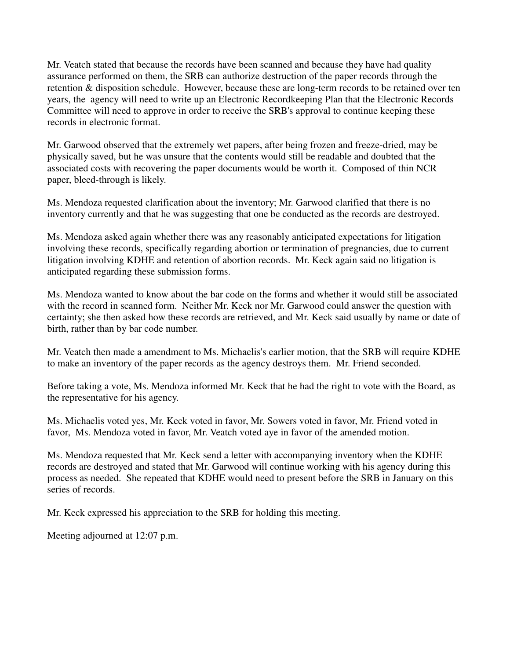Mr. Veatch stated that because the records have been scanned and because they have had quality assurance performed on them, the SRB can authorize destruction of the paper records through the retention & disposition schedule. However, because these are long-term records to be retained over ten years, the agency will need to write up an Electronic Recordkeeping Plan that the Electronic Records Committee will need to approve in order to receive the SRB's approval to continue keeping these records in electronic format.

Mr. Garwood observed that the extremely wet papers, after being frozen and freeze-dried, may be physically saved, but he was unsure that the contents would still be readable and doubted that the associated costs with recovering the paper documents would be worth it. Composed of thin NCR paper, bleed-through is likely.

Ms. Mendoza requested clarification about the inventory; Mr. Garwood clarified that there is no inventory currently and that he was suggesting that one be conducted as the records are destroyed.

Ms. Mendoza asked again whether there was any reasonably anticipated expectations for litigation involving these records, specifically regarding abortion or termination of pregnancies, due to current litigation involving KDHE and retention of abortion records. Mr. Keck again said no litigation is anticipated regarding these submission forms.

Ms. Mendoza wanted to know about the bar code on the forms and whether it would still be associated with the record in scanned form. Neither Mr. Keck nor Mr. Garwood could answer the question with certainty; she then asked how these records are retrieved, and Mr. Keck said usually by name or date of birth, rather than by bar code number.

Mr. Veatch then made a amendment to Ms. Michaelis's earlier motion, that the SRB will require KDHE to make an inventory of the paper records as the agency destroys them. Mr. Friend seconded.

Before taking a vote, Ms. Mendoza informed Mr. Keck that he had the right to vote with the Board, as the representative for his agency.

Ms. Michaelis voted yes, Mr. Keck voted in favor, Mr. Sowers voted in favor, Mr. Friend voted in favor, Ms. Mendoza voted in favor, Mr. Veatch voted aye in favor of the amended motion.

Ms. Mendoza requested that Mr. Keck send a letter with accompanying inventory when the KDHE records are destroyed and stated that Mr. Garwood will continue working with his agency during this process as needed. She repeated that KDHE would need to present before the SRB in January on this series of records.

Mr. Keck expressed his appreciation to the SRB for holding this meeting.

Meeting adjourned at 12:07 p.m.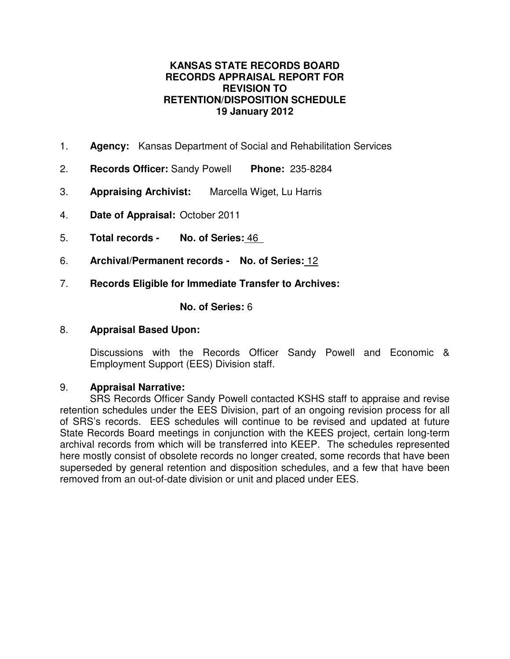## **KANSAS STATE RECORDS BOARD RECORDS APPRAISAL REPORT FOR REVISION TO RETENTION/DISPOSITION SCHEDULE 19 January 2012**

- 1. **Agency:** Kansas Department of Social and Rehabilitation Services
- 2. **Records Officer:** Sandy Powell **Phone:** 235-8284
- 3. **Appraising Archivist:** Marcella Wiget, Lu Harris
- 4. **Date of Appraisal:** October 2011
- 5. **Total records No. of Series:** 46
- 6. **Archival/Permanent records No. of Series:** 12
- 7. **Records Eligible for Immediate Transfer to Archives:**

## **No. of Series:** 6

## 8. **Appraisal Based Upon:**

Discussions with the Records Officer Sandy Powell and Economic & Employment Support (EES) Division staff.

## 9. **Appraisal Narrative:**

SRS Records Officer Sandy Powell contacted KSHS staff to appraise and revise retention schedules under the EES Division, part of an ongoing revision process for all of SRS's records. EES schedules will continue to be revised and updated at future State Records Board meetings in conjunction with the KEES project, certain long-term archival records from which will be transferred into KEEP. The schedules represented here mostly consist of obsolete records no longer created, some records that have been superseded by general retention and disposition schedules, and a few that have been removed from an out-of-date division or unit and placed under EES.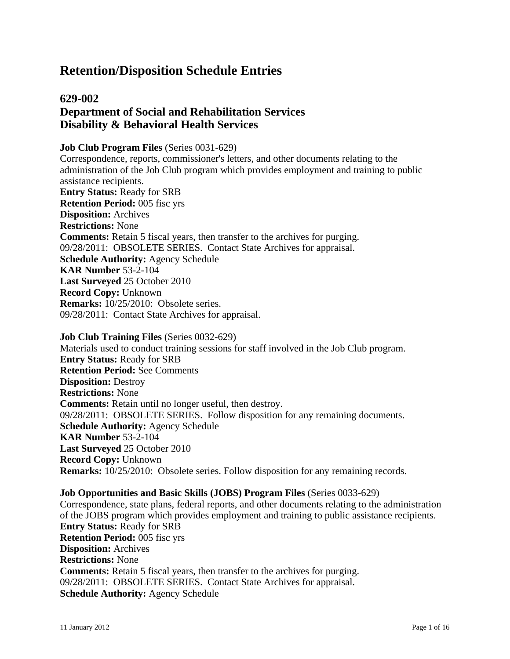# **Retention/Disposition Schedule Entries**

## **629-002 Department of Social and Rehabilitation Services Disability & Behavioral Health Services**

#### **Job Club Program Files** (Series 0031-629)

Correspondence, reports, commissioner's letters, and other documents relating to the administration of the Job Club program which provides employment and training to public assistance recipients. **Entry Status:** Ready for SRB **Retention Period:** 005 fisc yrs **Disposition:** Archives **Restrictions:** None **Comments:** Retain 5 fiscal years, then transfer to the archives for purging. 09/28/2011: OBSOLETE SERIES. Contact State Archives for appraisal. **Schedule Authority:** Agency Schedule **KAR Number** 53-2-104 **Last Surveyed** 25 October 2010 **Record Copy:** Unknown **Remarks:** 10/25/2010: Obsolete series. 09/28/2011: Contact State Archives for appraisal.

**Job Club Training Files** (Series 0032-629) Materials used to conduct training sessions for staff involved in the Job Club program. **Entry Status:** Ready for SRB **Retention Period:** See Comments **Disposition:** Destroy **Restrictions:** None **Comments:** Retain until no longer useful, then destroy. 09/28/2011: OBSOLETE SERIES. Follow disposition for any remaining documents. **Schedule Authority:** Agency Schedule **KAR Number** 53-2-104 **Last Surveyed** 25 October 2010 **Record Copy:** Unknown **Remarks:** 10/25/2010: Obsolete series. Follow disposition for any remaining records.

## **Job Opportunities and Basic Skills (JOBS) Program Files** (Series 0033-629)

Correspondence, state plans, federal reports, and other documents relating to the administration of the JOBS program which provides employment and training to public assistance recipients. **Entry Status:** Ready for SRB **Retention Period:** 005 fisc yrs **Disposition:** Archives **Restrictions:** None **Comments:** Retain 5 fiscal years, then transfer to the archives for purging. 09/28/2011: OBSOLETE SERIES. Contact State Archives for appraisal. **Schedule Authority:** Agency Schedule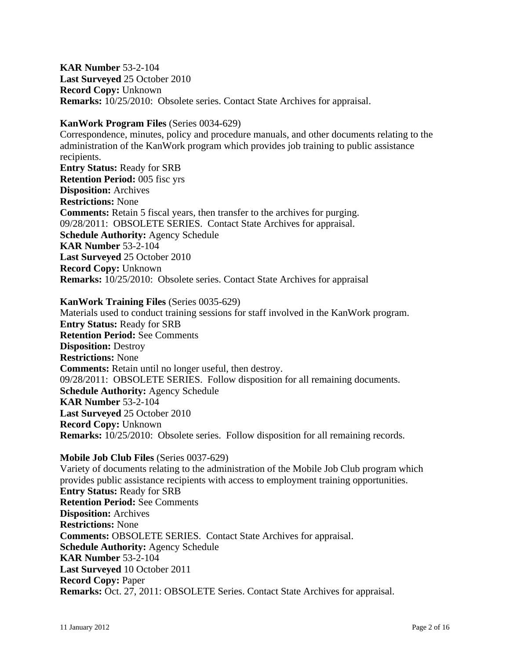**KAR Number** 53-2-104 **Last Surveyed** 25 October 2010 **Record Copy:** Unknown **Remarks:** 10/25/2010: Obsolete series. Contact State Archives for appraisal.

**KanWork Program Files** (Series 0034-629)

Correspondence, minutes, policy and procedure manuals, and other documents relating to the administration of the KanWork program which provides job training to public assistance recipients. **Entry Status:** Ready for SRB **Retention Period:** 005 fisc yrs **Disposition:** Archives **Restrictions:** None **Comments:** Retain 5 fiscal years, then transfer to the archives for purging. 09/28/2011: OBSOLETE SERIES. Contact State Archives for appraisal. **Schedule Authority:** Agency Schedule **KAR Number** 53-2-104 **Last Surveyed** 25 October 2010 **Record Copy:** Unknown **Remarks:** 10/25/2010: Obsolete series. Contact State Archives for appraisal

**KanWork Training Files** (Series 0035-629)

Materials used to conduct training sessions for staff involved in the KanWork program. **Entry Status:** Ready for SRB **Retention Period:** See Comments **Disposition:** Destroy **Restrictions:** None **Comments:** Retain until no longer useful, then destroy. 09/28/2011: OBSOLETE SERIES. Follow disposition for all remaining documents. **Schedule Authority:** Agency Schedule **KAR Number** 53-2-104 **Last Surveyed** 25 October 2010 **Record Copy:** Unknown **Remarks:**  $10/25/2010$ : Obsolete series. Follow disposition for all remaining records.

**Mobile Job Club Files** (Series 0037-629)

Variety of documents relating to the administration of the Mobile Job Club program which provides public assistance recipients with access to employment training opportunities. **Entry Status:** Ready for SRB **Retention Period:** See Comments **Disposition:** Archives **Restrictions:** None **Comments:** OBSOLETE SERIES. Contact State Archives for appraisal. **Schedule Authority:** Agency Schedule **KAR Number** 53-2-104 **Last Surveyed** 10 October 2011 **Record Copy:** Paper **Remarks:** Oct. 27, 2011: OBSOLETE Series. Contact State Archives for appraisal.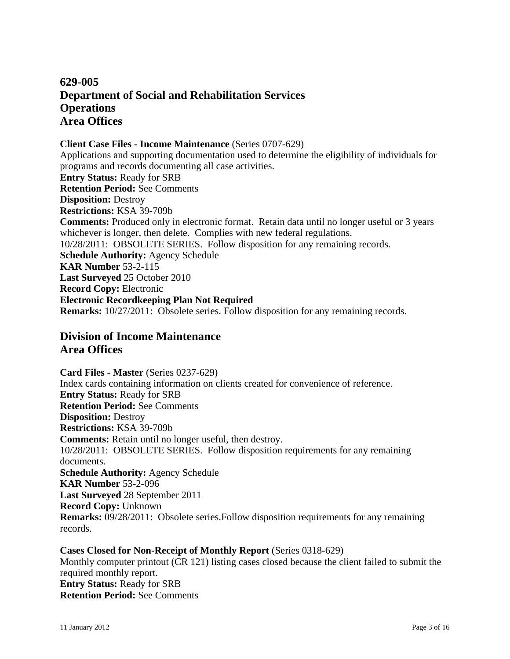## **629-005 Department of Social and Rehabilitation Services Operations Area Offices**

## **Client Case Files - Income Maintenance** (Series 0707-629)

Applications and supporting documentation used to determine the eligibility of individuals for programs and records documenting all case activities. **Entry Status:** Ready for SRB **Retention Period:** See Comments **Disposition:** Destroy **Restrictions:** KSA 39-709b **Comments:** Produced only in electronic format. Retain data until no longer useful or 3 years whichever is longer, then delete. Complies with new federal regulations. 10/28/2011: OBSOLETE SERIES. Follow disposition for any remaining records. **Schedule Authority:** Agency Schedule **KAR Number** 53-2-115 **Last Surveyed** 25 October 2010 **Record Copy:** Electronic **Electronic Recordkeeping Plan Not Required Remarks:** 10/27/2011: Obsolete series. Follow disposition for any remaining records.

## **Division of Income Maintenance Area Offices**

**Card Files - Master** (Series 0237-629) Index cards containing information on clients created for convenience of reference. **Entry Status:** Ready for SRB **Retention Period:** See Comments **Disposition:** Destroy **Restrictions:** KSA 39-709b **Comments:** Retain until no longer useful, then destroy. 10/28/2011: OBSOLETE SERIES. Follow disposition requirements for any remaining documents. **Schedule Authority:** Agency Schedule **KAR Number** 53-2-096 **Last Surveyed** 28 September 2011 **Record Copy:** Unknown **Remarks:** 09/28/2011: Obsolete series.Follow disposition requirements for any remaining records.

**Cases Closed for Non-Receipt of Monthly Report** (Series 0318-629) Monthly computer printout (CR 121) listing cases closed because the client failed to submit the required monthly report. **Entry Status:** Ready for SRB **Retention Period:** See Comments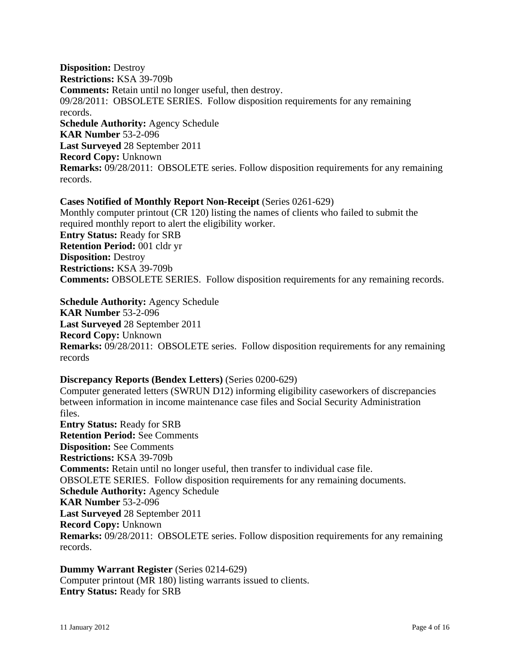**Disposition:** Destroy **Restrictions:** KSA 39-709b **Comments:** Retain until no longer useful, then destroy. 09/28/2011: OBSOLETE SERIES. Follow disposition requirements for any remaining records. **Schedule Authority:** Agency Schedule **KAR Number** 53-2-096 **Last Surveyed** 28 September 2011 **Record Copy:** Unknown **Remarks:** 09/28/2011: OBSOLETE series. Follow disposition requirements for any remaining records.

**Cases Notified of Monthly Report Non-Receipt** (Series 0261-629) Monthly computer printout (CR 120) listing the names of clients who failed to submit the required monthly report to alert the eligibility worker. **Entry Status:** Ready for SRB **Retention Period:** 001 cldr yr **Disposition:** Destroy **Restrictions:** KSA 39-709b **Comments:** OBSOLETE SERIES. Follow disposition requirements for any remaining records.

**Schedule Authority:** Agency Schedule **KAR Number** 53-2-096 **Last Surveyed** 28 September 2011 **Record Copy:** Unknown **Remarks:** 09/28/2011: OBSOLETE series. Follow disposition requirements for any remaining records

#### **Discrepancy Reports (Bendex Letters)** (Series 0200-629)

Computer generated letters (SWRUN D12) informing eligibility caseworkers of discrepancies between information in income maintenance case files and Social Security Administration files.

**Entry Status:** Ready for SRB **Retention Period:** See Comments **Disposition:** See Comments **Restrictions:** KSA 39-709b **Comments:** Retain until no longer useful, then transfer to individual case file. OBSOLETE SERIES. Follow disposition requirements for any remaining documents. **Schedule Authority:** Agency Schedule **KAR Number** 53-2-096 **Last Surveyed** 28 September 2011 **Record Copy:** Unknown **Remarks:** 09/28/2011: OBSOLETE series. Follow disposition requirements for any remaining records.

**Dummy Warrant Register** (Series 0214-629) Computer printout (MR 180) listing warrants issued to clients. **Entry Status:** Ready for SRB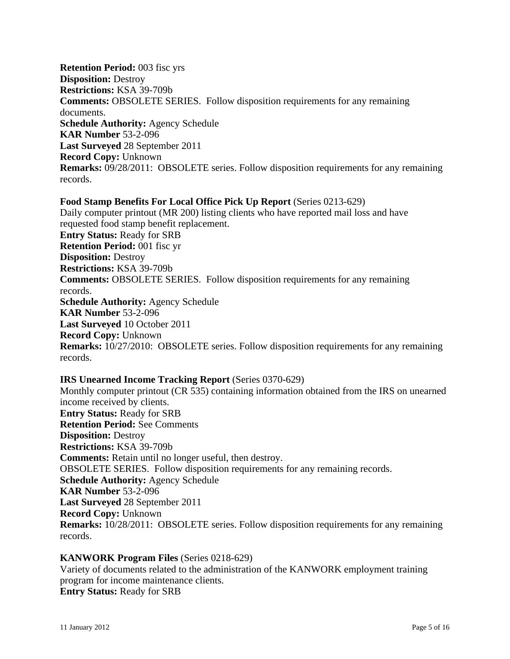**Retention Period:** 003 fisc yrs **Disposition:** Destroy **Restrictions:** KSA 39-709b **Comments:** OBSOLETE SERIES. Follow disposition requirements for any remaining documents. **Schedule Authority:** Agency Schedule **KAR Number** 53-2-096 **Last Surveyed** 28 September 2011 **Record Copy:** Unknown **Remarks:** 09/28/2011: OBSOLETE series. Follow disposition requirements for any remaining records.

**Food Stamp Benefits For Local Office Pick Up Report** (Series 0213-629) Daily computer printout (MR 200) listing clients who have reported mail loss and have requested food stamp benefit replacement. **Entry Status:** Ready for SRB **Retention Period:** 001 fisc yr **Disposition:** Destroy **Restrictions:** KSA 39-709b **Comments:** OBSOLETE SERIES. Follow disposition requirements for any remaining records. **Schedule Authority:** Agency Schedule **KAR Number** 53-2-096 **Last Surveyed** 10 October 2011 **Record Copy:** Unknown **Remarks:** 10/27/2010: OBSOLETE series. Follow disposition requirements for any remaining records.

### **IRS Unearned Income Tracking Report** (Series 0370-629)

Monthly computer printout (CR 535) containing information obtained from the IRS on unearned income received by clients. **Entry Status:** Ready for SRB **Retention Period:** See Comments **Disposition:** Destroy **Restrictions:** KSA 39-709b **Comments:** Retain until no longer useful, then destroy. OBSOLETE SERIES. Follow disposition requirements for any remaining records. **Schedule Authority:** Agency Schedule **KAR Number** 53-2-096 **Last Surveyed** 28 September 2011 **Record Copy:** Unknown **Remarks:** 10/28/2011: OBSOLETE series. Follow disposition requirements for any remaining records.

#### **KANWORK Program Files** (Series 0218-629)

Variety of documents related to the administration of the KANWORK employment training program for income maintenance clients. **Entry Status:** Ready for SRB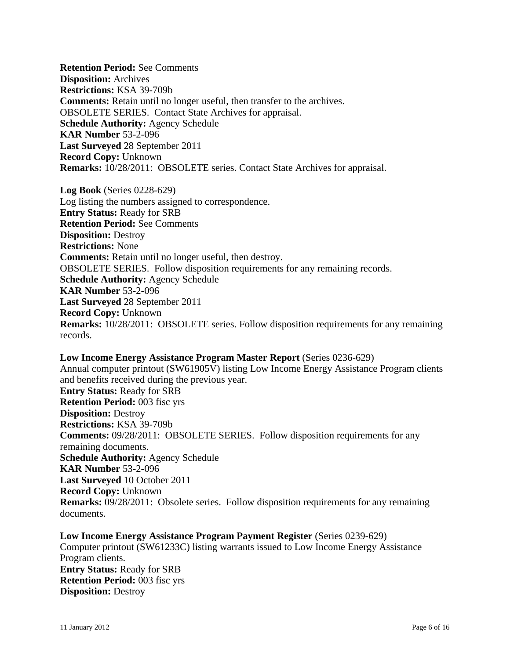**Retention Period:** See Comments **Disposition:** Archives **Restrictions:** KSA 39-709b **Comments:** Retain until no longer useful, then transfer to the archives. OBSOLETE SERIES. Contact State Archives for appraisal. **Schedule Authority:** Agency Schedule **KAR Number** 53-2-096 **Last Surveyed** 28 September 2011 **Record Copy:** Unknown **Remarks:** 10/28/2011: OBSOLETE series. Contact State Archives for appraisal.

**Log Book** (Series 0228-629) Log listing the numbers assigned to correspondence. **Entry Status:** Ready for SRB **Retention Period:** See Comments **Disposition:** Destroy **Restrictions:** None **Comments:** Retain until no longer useful, then destroy. OBSOLETE SERIES. Follow disposition requirements for any remaining records. **Schedule Authority:** Agency Schedule **KAR Number** 53-2-096 **Last Surveyed** 28 September 2011 **Record Copy:** Unknown **Remarks:** 10/28/2011: OBSOLETE series. Follow disposition requirements for any remaining records.

**Low Income Energy Assistance Program Master Report** (Series 0236-629) Annual computer printout (SW61905V) listing Low Income Energy Assistance Program clients and benefits received during the previous year. **Entry Status:** Ready for SRB **Retention Period:** 003 fisc yrs **Disposition:** Destroy **Restrictions:** KSA 39-709b **Comments:** 09/28/2011: OBSOLETE SERIES. Follow disposition requirements for any remaining documents. **Schedule Authority:** Agency Schedule **KAR Number** 53-2-096 **Last Surveyed** 10 October 2011 **Record Copy:** Unknown **Remarks:** 09/28/2011: Obsolete series. Follow disposition requirements for any remaining documents.

**Low Income Energy Assistance Program Payment Register** (Series 0239-629) Computer printout (SW61233C) listing warrants issued to Low Income Energy Assistance Program clients. **Entry Status:** Ready for SRB **Retention Period:** 003 fisc yrs **Disposition:** Destroy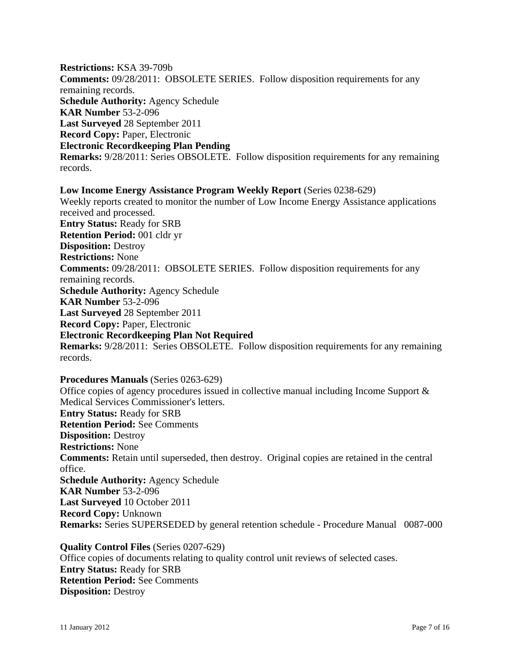**Restrictions:** KSA 39-709b **Comments:** 09/28/2011: OBSOLETE SERIES. Follow disposition requirements for any remaining records. **Schedule Authority:** Agency Schedule **KAR Number** 53-2-096 **Last Surveyed** 28 September 2011 **Record Copy:** Paper, Electronic **Electronic Recordkeeping Plan Pending Remarks:** 9/28/2011: Series OBSOLETE. Follow disposition requirements for any remaining records.

**Low Income Energy Assistance Program Weekly Report** (Series 0238-629) Weekly reports created to monitor the number of Low Income Energy Assistance applications received and processed. **Entry Status:** Ready for SRB **Retention Period:** 001 cldr yr **Disposition:** Destroy **Restrictions:** None **Comments:** 09/28/2011: OBSOLETE SERIES. Follow disposition requirements for any remaining records. **Schedule Authority:** Agency Schedule **KAR Number** 53-2-096 **Last Surveyed** 28 September 2011 **Record Copy:** Paper, Electronic **Electronic Recordkeeping Plan Not Required Remarks:** 9/28/2011: Series OBSOLETE. Follow disposition requirements for any remaining records.

**Procedures Manuals** (Series 0263-629) Office copies of agency procedures issued in collective manual including Income Support & Medical Services Commissioner's letters. **Entry Status:** Ready for SRB **Retention Period:** See Comments **Disposition:** Destroy **Restrictions:** None **Comments:** Retain until superseded, then destroy. Original copies are retained in the central office. **Schedule Authority:** Agency Schedule **KAR Number** 53-2-096 **Last Surveyed** 10 October 2011 **Record Copy:** Unknown **Remarks:** Series SUPERSEDED by general retention schedule - Procedure Manual 0087-000

**Quality Control Files** (Series 0207-629) Office copies of documents relating to quality control unit reviews of selected cases. **Entry Status:** Ready for SRB **Retention Period:** See Comments **Disposition:** Destroy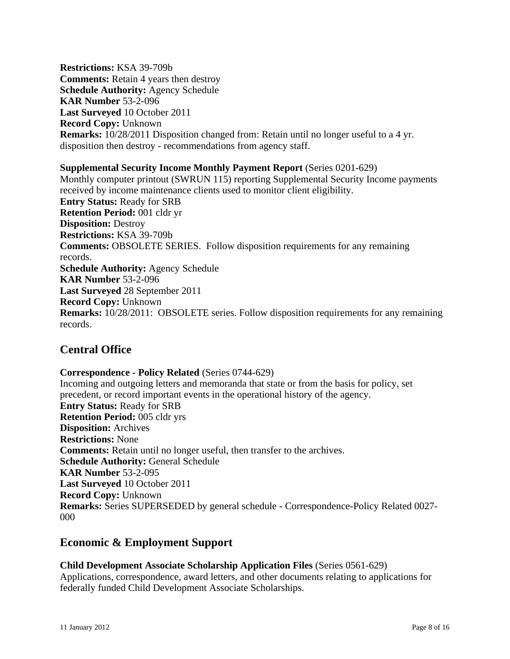**Restrictions:** KSA 39-709b **Comments:** Retain 4 years then destroy **Schedule Authority:** Agency Schedule **KAR Number** 53-2-096 **Last Surveyed** 10 October 2011 **Record Copy:** Unknown **Remarks:** 10/28/2011 Disposition changed from: Retain until no longer useful to a 4 yr. disposition then destroy - recommendations from agency staff.

### **Supplemental Security Income Monthly Payment Report** (Series 0201-629)

Monthly computer printout (SWRUN 115) reporting Supplemental Security Income payments received by income maintenance clients used to monitor client eligibility. **Entry Status:** Ready for SRB **Retention Period:** 001 cldr yr **Disposition:** Destroy **Restrictions:** KSA 39-709b **Comments:** OBSOLETE SERIES. Follow disposition requirements for any remaining records. **Schedule Authority:** Agency Schedule **KAR Number** 53-2-096 **Last Surveyed** 28 September 2011 **Record Copy:** Unknown **Remarks:** 10/28/2011: OBSOLETE series. Follow disposition requirements for any remaining records.

## **Central Office**

**Correspondence - Policy Related** (Series 0744-629) Incoming and outgoing letters and memoranda that state or from the basis for policy, set precedent, or record important events in the operational history of the agency. **Entry Status:** Ready for SRB **Retention Period:** 005 cldr yrs **Disposition:** Archives **Restrictions:** None **Comments:** Retain until no longer useful, then transfer to the archives. **Schedule Authority:** General Schedule **KAR Number** 53-2-095 **Last Surveyed** 10 October 2011 **Record Copy:** Unknown **Remarks:** Series SUPERSEDED by general schedule - Correspondence-Policy Related 0027- 000

## **Economic & Employment Support**

**Child Development Associate Scholarship Application Files** (Series 0561-629) Applications, correspondence, award letters, and other documents relating to applications for federally funded Child Development Associate Scholarships.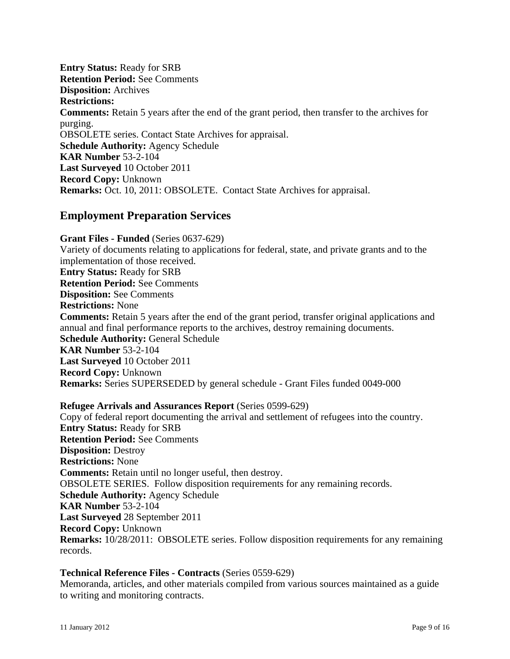**Entry Status:** Ready for SRB **Retention Period:** See Comments **Disposition:** Archives **Restrictions: Comments:** Retain 5 years after the end of the grant period, then transfer to the archives for purging. OBSOLETE series. Contact State Archives for appraisal. **Schedule Authority:** Agency Schedule **KAR Number** 53-2-104 **Last Surveyed** 10 October 2011 **Record Copy:** Unknown **Remarks:** Oct. 10, 2011: OBSOLETE. Contact State Archives for appraisal.

## **Employment Preparation Services**

**Grant Files - Funded** (Series 0637-629) Variety of documents relating to applications for federal, state, and private grants and to the implementation of those received. **Entry Status:** Ready for SRB **Retention Period:** See Comments **Disposition:** See Comments **Restrictions:** None **Comments:** Retain 5 years after the end of the grant period, transfer original applications and annual and final performance reports to the archives, destroy remaining documents. **Schedule Authority:** General Schedule **KAR Number** 53-2-104 **Last Surveyed** 10 October 2011 **Record Copy:** Unknown **Remarks:** Series SUPERSEDED by general schedule - Grant Files funded 0049-000

## **Refugee Arrivals and Assurances Report** (Series 0599-629)

Copy of federal report documenting the arrival and settlement of refugees into the country. **Entry Status:** Ready for SRB **Retention Period:** See Comments **Disposition:** Destroy **Restrictions:** None **Comments:** Retain until no longer useful, then destroy. OBSOLETE SERIES. Follow disposition requirements for any remaining records. **Schedule Authority:** Agency Schedule **KAR Number** 53-2-104 **Last Surveyed** 28 September 2011 **Record Copy:** Unknown **Remarks:** 10/28/2011: OBSOLETE series. Follow disposition requirements for any remaining records.

## **Technical Reference Files - Contracts** (Series 0559-629)

Memoranda, articles, and other materials compiled from various sources maintained as a guide to writing and monitoring contracts.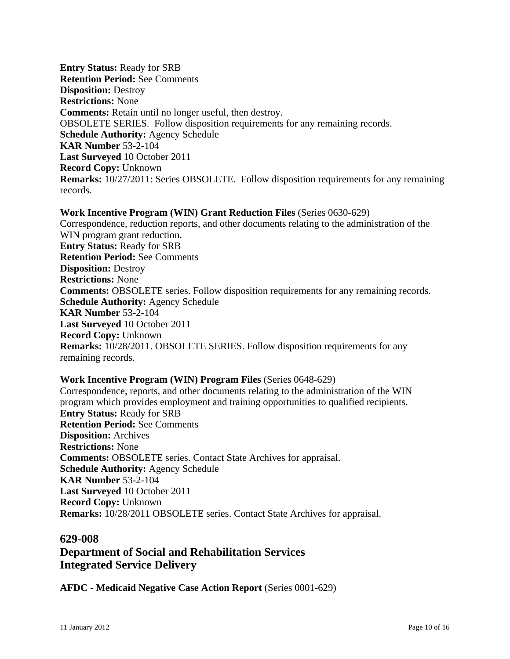**Entry Status:** Ready for SRB **Retention Period:** See Comments **Disposition:** Destroy **Restrictions:** None **Comments:** Retain until no longer useful, then destroy. OBSOLETE SERIES. Follow disposition requirements for any remaining records. **Schedule Authority:** Agency Schedule **KAR Number** 53-2-104 **Last Surveyed** 10 October 2011 **Record Copy:** Unknown **Remarks:** 10/27/2011: Series OBSOLETE. Follow disposition requirements for any remaining records.

**Work Incentive Program (WIN) Grant Reduction Files** (Series 0630-629) Correspondence, reduction reports, and other documents relating to the administration of the WIN program grant reduction. **Entry Status:** Ready for SRB **Retention Period:** See Comments **Disposition:** Destroy **Restrictions:** None **Comments:** OBSOLETE series. Follow disposition requirements for any remaining records. **Schedule Authority:** Agency Schedule **KAR Number** 53-2-104 **Last Surveyed** 10 October 2011 **Record Copy:** Unknown **Remarks:** 10/28/2011. OBSOLETE SERIES. Follow disposition requirements for any remaining records.

#### **Work Incentive Program (WIN) Program Files** (Series 0648-629)

Correspondence, reports, and other documents relating to the administration of the WIN program which provides employment and training opportunities to qualified recipients. **Entry Status:** Ready for SRB **Retention Period:** See Comments **Disposition:** Archives **Restrictions:** None **Comments:** OBSOLETE series. Contact State Archives for appraisal. **Schedule Authority:** Agency Schedule **KAR Number** 53-2-104 **Last Surveyed** 10 October 2011 **Record Copy:** Unknown **Remarks:** 10/28/2011 OBSOLETE series. Contact State Archives for appraisal.

## **629-008**

## **Department of Social and Rehabilitation Services Integrated Service Delivery**

**AFDC - Medicaid Negative Case Action Report** (Series 0001-629)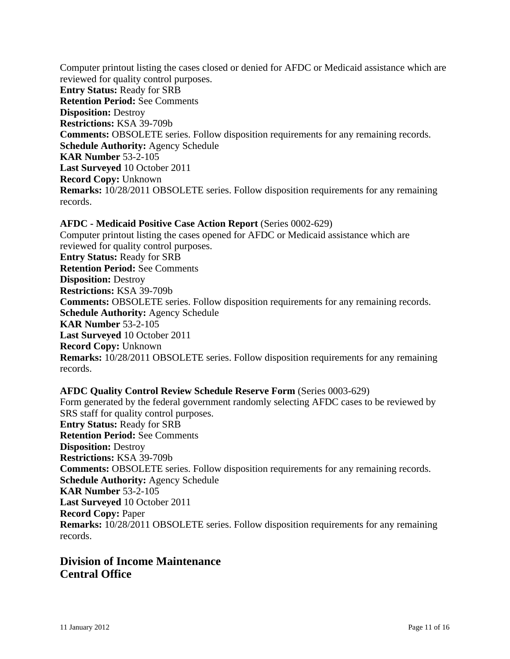Computer printout listing the cases closed or denied for AFDC or Medicaid assistance which are reviewed for quality control purposes. **Entry Status:** Ready for SRB **Retention Period:** See Comments **Disposition:** Destroy **Restrictions:** KSA 39-709b **Comments:** OBSOLETE series. Follow disposition requirements for any remaining records. **Schedule Authority:** Agency Schedule **KAR Number** 53-2-105 **Last Surveyed** 10 October 2011 **Record Copy:** Unknown **Remarks:** 10/28/2011 OBSOLETE series. Follow disposition requirements for any remaining records.

## **AFDC - Medicaid Positive Case Action Report** (Series 0002-629)

Computer printout listing the cases opened for AFDC or Medicaid assistance which are reviewed for quality control purposes. **Entry Status:** Ready for SRB **Retention Period:** See Comments **Disposition:** Destroy **Restrictions:** KSA 39-709b **Comments:** OBSOLETE series. Follow disposition requirements for any remaining records. **Schedule Authority:** Agency Schedule **KAR Number** 53-2-105 **Last Surveyed** 10 October 2011 **Record Copy:** Unknown **Remarks:** 10/28/2011 OBSOLETE series. Follow disposition requirements for any remaining records.

## **AFDC Quality Control Review Schedule Reserve Form** (Series 0003-629)

Form generated by the federal government randomly selecting AFDC cases to be reviewed by SRS staff for quality control purposes. **Entry Status:** Ready for SRB **Retention Period:** See Comments **Disposition:** Destroy **Restrictions:** KSA 39-709b **Comments:** OBSOLETE series. Follow disposition requirements for any remaining records. **Schedule Authority:** Agency Schedule **KAR Number** 53-2-105 **Last Surveyed** 10 October 2011 **Record Copy:** Paper **Remarks:** 10/28/2011 OBSOLETE series. Follow disposition requirements for any remaining records.

## **Division of Income Maintenance Central Office**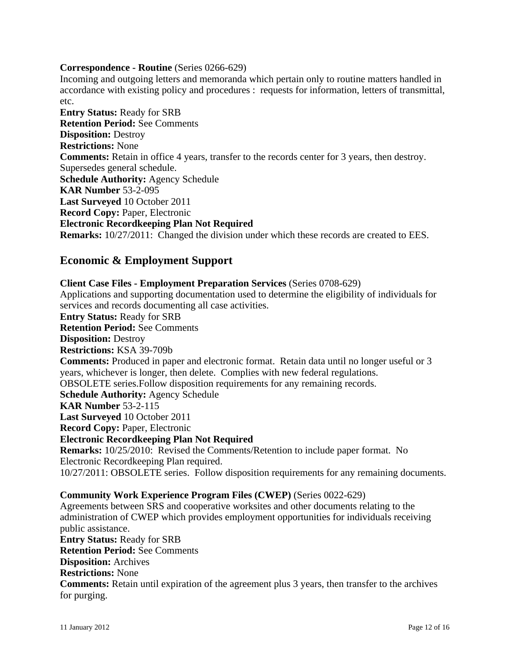## **Correspondence - Routine** (Series 0266-629)

Incoming and outgoing letters and memoranda which pertain only to routine matters handled in accordance with existing policy and procedures : requests for information, letters of transmittal, etc.

**Entry Status:** Ready for SRB **Retention Period:** See Comments **Disposition:** Destroy **Restrictions:** None **Comments:** Retain in office 4 years, transfer to the records center for 3 years, then destroy. Supersedes general schedule. **Schedule Authority:** Agency Schedule **KAR Number** 53-2-095 **Last Surveyed** 10 October 2011 **Record Copy:** Paper, Electronic **Electronic Recordkeeping Plan Not Required Remarks:** 10/27/2011: Changed the division under which these records are created to EES.

## **Economic & Employment Support**

**Client Case Files - Employment Preparation Services** (Series 0708-629) Applications and supporting documentation used to determine the eligibility of individuals for services and records documenting all case activities. **Entry Status:** Ready for SRB **Retention Period:** See Comments **Disposition:** Destroy **Restrictions:** KSA 39-709b **Comments:** Produced in paper and electronic format. Retain data until no longer useful or 3 years, whichever is longer, then delete. Complies with new federal regulations. OBSOLETE series.Follow disposition requirements for any remaining records. **Schedule Authority:** Agency Schedule **KAR Number** 53-2-115 **Last Surveyed** 10 October 2011 **Record Copy:** Paper, Electronic **Electronic Recordkeeping Plan Not Required Remarks:** 10/25/2010: Revised the Comments/Retention to include paper format. No Electronic Recordkeeping Plan required. 10/27/2011: OBSOLETE series. Follow disposition requirements for any remaining documents. **Community Work Experience Program Files (CWEP)** (Series 0022-629)

Agreements between SRS and cooperative worksites and other documents relating to the administration of CWEP which provides employment opportunities for individuals receiving public assistance.

**Entry Status:** Ready for SRB **Retention Period:** See Comments **Disposition:** Archives **Restrictions:** None **Comments:** Retain until expiration of the agreement plus 3 years, then transfer to the archives for purging.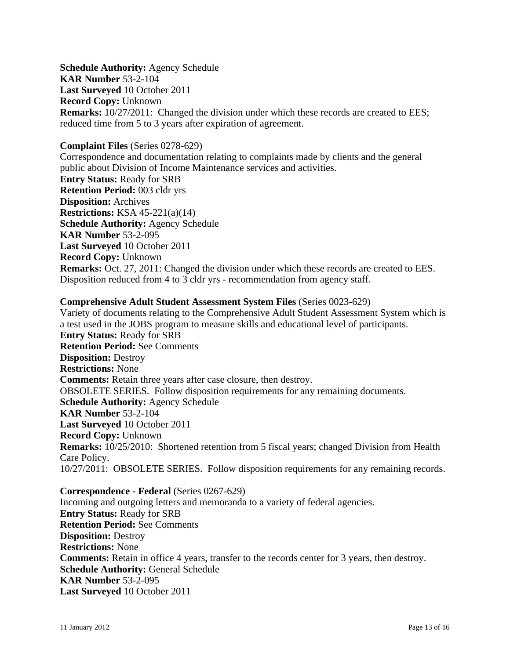**Schedule Authority:** Agency Schedule **KAR Number** 53-2-104 **Last Surveyed** 10 October 2011 **Record Copy:** Unknown **Remarks:** 10/27/2011: Changed the division under which these records are created to EES; reduced time from 5 to 3 years after expiration of agreement.

#### **Complaint Files** (Series 0278-629)

Correspondence and documentation relating to complaints made by clients and the general public about Division of Income Maintenance services and activities. **Entry Status:** Ready for SRB **Retention Period:** 003 cldr yrs **Disposition:** Archives **Restrictions:** KSA 45-221(a)(14) **Schedule Authority:** Agency Schedule **KAR Number** 53-2-095 **Last Surveyed** 10 October 2011 **Record Copy:** Unknown **Remarks:** Oct. 27, 2011: Changed the division under which these records are created to EES. Disposition reduced from 4 to 3 cldr yrs - recommendation from agency staff.

#### **Comprehensive Adult Student Assessment System Files** (Series 0023-629)

Variety of documents relating to the Comprehensive Adult Student Assessment System which is a test used in the JOBS program to measure skills and educational level of participants. **Entry Status:** Ready for SRB **Retention Period:** See Comments **Disposition:** Destroy **Restrictions:** None **Comments:** Retain three years after case closure, then destroy. OBSOLETE SERIES. Follow disposition requirements for any remaining documents. **Schedule Authority:** Agency Schedule **KAR Number** 53-2-104 **Last Surveyed** 10 October 2011 **Record Copy:** Unknown **Remarks:** 10/25/2010: Shortened retention from 5 fiscal years; changed Division from Health Care Policy. 10/27/2011: OBSOLETE SERIES. Follow disposition requirements for any remaining records.

#### **Correspondence - Federal** (Series 0267-629)

Incoming and outgoing letters and memoranda to a variety of federal agencies. **Entry Status:** Ready for SRB **Retention Period:** See Comments **Disposition:** Destroy **Restrictions:** None **Comments:** Retain in office 4 years, transfer to the records center for 3 years, then destroy. **Schedule Authority:** General Schedule **KAR Number** 53-2-095 **Last Surveyed** 10 October 2011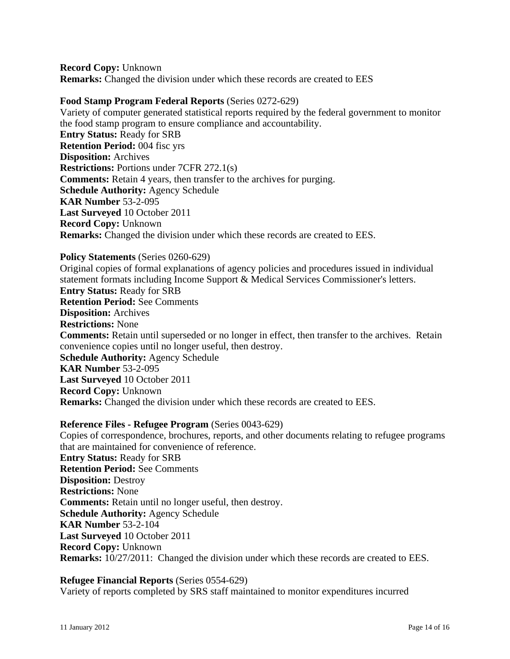**Record Copy:** Unknown **Remarks:** Changed the division under which these records are created to EES

#### **Food Stamp Program Federal Reports** (Series 0272-629)

Variety of computer generated statistical reports required by the federal government to monitor the food stamp program to ensure compliance and accountability. **Entry Status:** Ready for SRB **Retention Period:** 004 fisc yrs **Disposition:** Archives **Restrictions:** Portions under 7CFR 272.1(s) **Comments:** Retain 4 years, then transfer to the archives for purging. **Schedule Authority:** Agency Schedule **KAR Number** 53-2-095 **Last Surveyed** 10 October 2011 **Record Copy:** Unknown **Remarks:** Changed the division under which these records are created to EES.

#### **Policy Statements** (Series 0260-629)

Original copies of formal explanations of agency policies and procedures issued in individual statement formats including Income Support & Medical Services Commissioner's letters. **Entry Status:** Ready for SRB **Retention Period:** See Comments **Disposition:** Archives **Restrictions:** None **Comments:** Retain until superseded or no longer in effect, then transfer to the archives. Retain convenience copies until no longer useful, then destroy. **Schedule Authority:** Agency Schedule **KAR Number** 53-2-095 **Last Surveyed** 10 October 2011 **Record Copy:** Unknown **Remarks:** Changed the division under which these records are created to EES.

#### **Reference Files - Refugee Program** (Series 0043-629)

Copies of correspondence, brochures, reports, and other documents relating to refugee programs that are maintained for convenience of reference. **Entry Status:** Ready for SRB **Retention Period:** See Comments **Disposition:** Destroy **Restrictions:** None **Comments:** Retain until no longer useful, then destroy. **Schedule Authority:** Agency Schedule **KAR Number** 53-2-104 **Last Surveyed** 10 October 2011 **Record Copy:** Unknown **Remarks:** 10/27/2011: Changed the division under which these records are created to EES.

### **Refugee Financial Reports** (Series 0554-629)

Variety of reports completed by SRS staff maintained to monitor expenditures incurred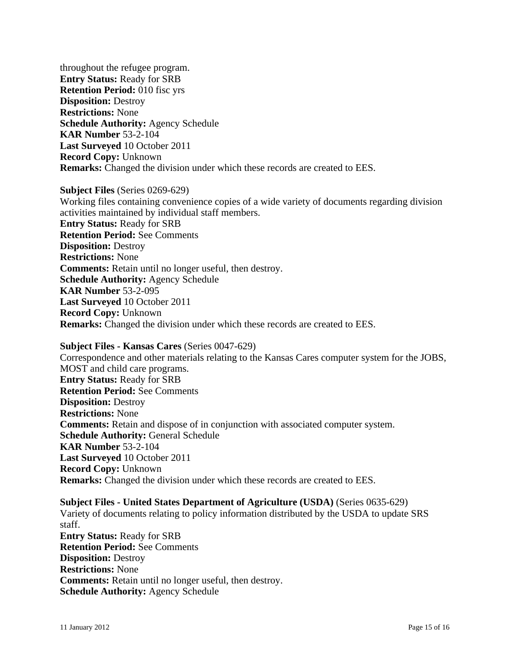throughout the refugee program. **Entry Status:** Ready for SRB **Retention Period:** 010 fisc yrs **Disposition:** Destroy **Restrictions:** None **Schedule Authority:** Agency Schedule **KAR Number** 53-2-104 **Last Surveyed** 10 October 2011 **Record Copy:** Unknown **Remarks:** Changed the division under which these records are created to EES.

**Subject Files** (Series 0269-629) Working files containing convenience copies of a wide variety of documents regarding division activities maintained by individual staff members. **Entry Status:** Ready for SRB **Retention Period:** See Comments **Disposition:** Destroy **Restrictions:** None **Comments:** Retain until no longer useful, then destroy. **Schedule Authority:** Agency Schedule **KAR Number** 53-2-095 **Last Surveyed** 10 October 2011 **Record Copy:** Unknown **Remarks:** Changed the division under which these records are created to EES.

### **Subject Files - Kansas Cares** (Series 0047-629)

Correspondence and other materials relating to the Kansas Cares computer system for the JOBS, MOST and child care programs. **Entry Status:** Ready for SRB **Retention Period:** See Comments **Disposition:** Destroy **Restrictions:** None **Comments:** Retain and dispose of in conjunction with associated computer system. **Schedule Authority:** General Schedule **KAR Number** 53-2-104 **Last Surveyed** 10 October 2011 **Record Copy:** Unknown **Remarks:** Changed the division under which these records are created to EES.

**Subject Files - United States Department of Agriculture (USDA)** (Series 0635-629) Variety of documents relating to policy information distributed by the USDA to update SRS staff. **Entry Status:** Ready for SRB **Retention Period:** See Comments **Disposition:** Destroy **Restrictions:** None **Comments:** Retain until no longer useful, then destroy. **Schedule Authority:** Agency Schedule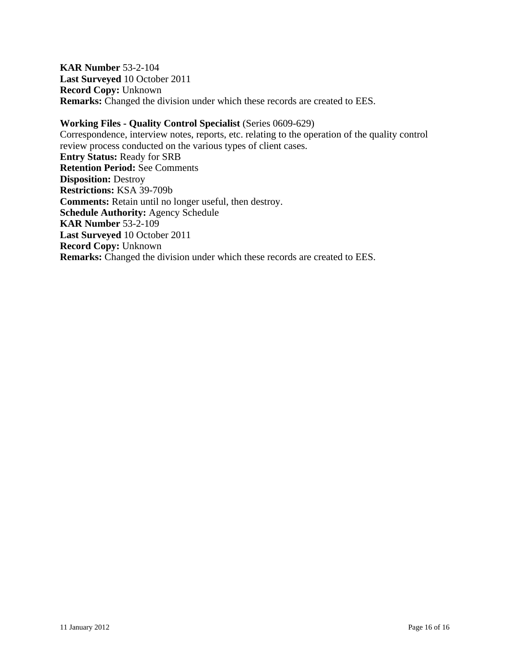**KAR Number** 53-2-104 **Last Surveyed** 10 October 2011 **Record Copy:** Unknown **Remarks:** Changed the division under which these records are created to EES.

#### **Working Files - Quality Control Specialist** (Series 0609-629)

Correspondence, interview notes, reports, etc. relating to the operation of the quality control review process conducted on the various types of client cases. **Entry Status:** Ready for SRB **Retention Period:** See Comments **Disposition:** Destroy **Restrictions:** KSA 39-709b **Comments:** Retain until no longer useful, then destroy. **Schedule Authority:** Agency Schedule **KAR Number** 53-2-109 **Last Surveyed** 10 October 2011 **Record Copy:** Unknown **Remarks:** Changed the division under which these records are created to EES.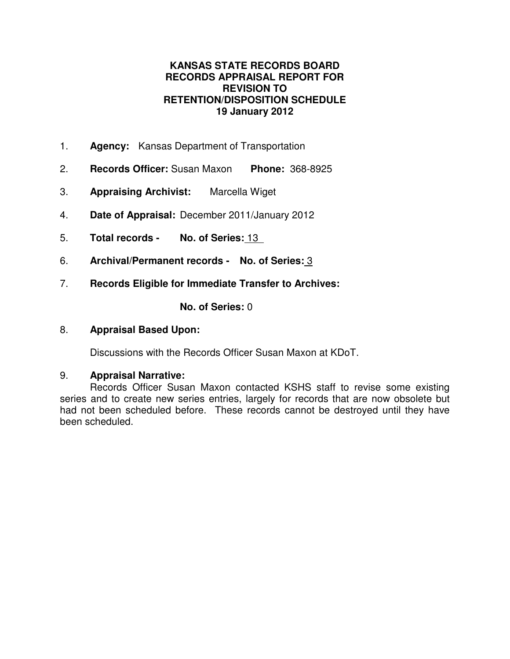## **KANSAS STATE RECORDS BOARD RECORDS APPRAISAL REPORT FOR REVISION TO RETENTION/DISPOSITION SCHEDULE 19 January 2012**

- 1. **Agency:** Kansas Department of Transportation
- 2. **Records Officer:** Susan Maxon **Phone:** 368-8925
- 3. **Appraising Archivist:** Marcella Wiget
- 4. **Date of Appraisal:** December 2011/January 2012
- 5. **Total records No. of Series:** 13
- 6. **Archival/Permanent records No. of Series:** 3
- 7. **Records Eligible for Immediate Transfer to Archives:**

**No. of Series:** 0

## 8. **Appraisal Based Upon:**

Discussions with the Records Officer Susan Maxon at KDoT.

## 9. **Appraisal Narrative:**

Records Officer Susan Maxon contacted KSHS staff to revise some existing series and to create new series entries, largely for records that are now obsolete but had not been scheduled before. These records cannot be destroyed until they have been scheduled.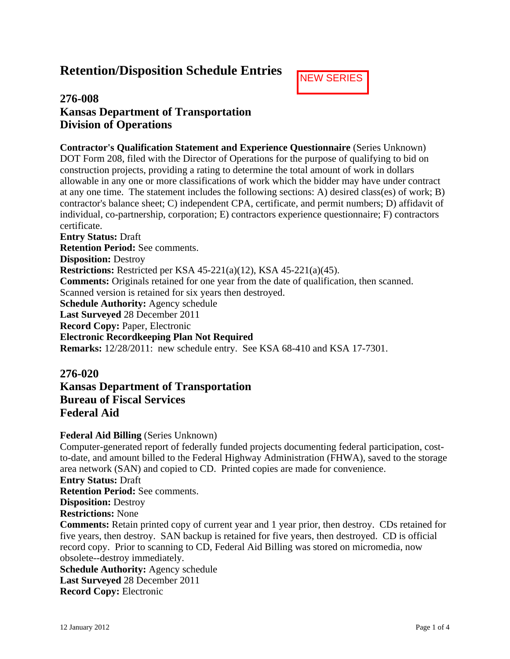# **Retention/Disposition Schedule Entries**



## **276-008 Kansas Department of Transportation Division of Operations**

**Contractor's Qualification Statement and Experience Questionnaire** (Series Unknown) DOT Form 208, filed with the Director of Operations for the purpose of qualifying to bid on construction projects, providing a rating to determine the total amount of work in dollars allowable in any one or more classifications of work which the bidder may have under contract at any one time. The statement includes the following sections: A) desired class(es) of work; B) contractor's balance sheet; C) independent CPA, certificate, and permit numbers; D) affidavit of individual, co-partnership, corporation; E) contractors experience questionnaire; F) contractors certificate.

**Entry Status:** Draft **Retention Period:** See comments. **Disposition:** Destroy **Restrictions:** Restricted per KSA 45-221(a)(12), KSA 45-221(a)(45). **Comments:** Originals retained for one year from the date of qualification, then scanned. Scanned version is retained for six years then destroyed. **Schedule Authority:** Agency schedule **Last Surveyed** 28 December 2011 **Record Copy:** Paper, Electronic **Electronic Recordkeeping Plan Not Required Remarks:** 12/28/2011: new schedule entry. See KSA 68-410 and KSA 17-7301.

## **276-020**

**Kansas Department of Transportation Bureau of Fiscal Services Federal Aid**

## **Federal Aid Billing** (Series Unknown)

Computer-generated report of federally funded projects documenting federal participation, costto-date, and amount billed to the Federal Highway Administration (FHWA), saved to the storage area network (SAN) and copied to CD. Printed copies are made for convenience.

**Entry Status:** Draft

**Retention Period:** See comments.

**Disposition:** Destroy

**Restrictions:** None

**Comments:** Retain printed copy of current year and 1 year prior, then destroy. CDs retained for five years, then destroy. SAN backup is retained for five years, then destroyed. CD is official record copy. Prior to scanning to CD, Federal Aid Billing was stored on micromedia, now obsolete--destroy immediately.

**Schedule Authority:** Agency schedule **Last Surveyed** 28 December 2011 **Record Copy:** Electronic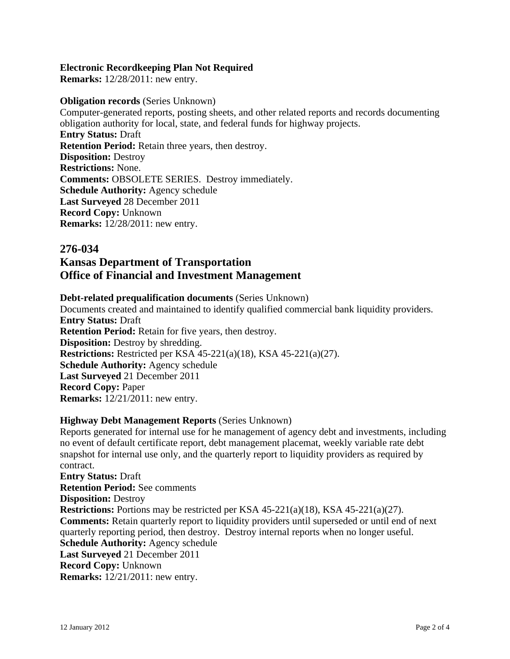### **Electronic Recordkeeping Plan Not Required**

**Remarks:** 12/28/2011: new entry.

### **Obligation records** (Series Unknown)

Computer-generated reports, posting sheets, and other related reports and records documenting obligation authority for local, state, and federal funds for highway projects. **Entry Status:** Draft **Retention Period:** Retain three years, then destroy. **Disposition:** Destroy **Restrictions:** None. **Comments:** OBSOLETE SERIES. Destroy immediately. **Schedule Authority:** Agency schedule **Last Surveyed** 28 December 2011 **Record Copy:** Unknown **Remarks:** 12/28/2011: new entry.

## **276-034**

# **Kansas Department of Transportation Office of Financial and Investment Management**

## **Debt-related prequalification documents** (Series Unknown)

Documents created and maintained to identify qualified commercial bank liquidity providers. **Entry Status:** Draft **Retention Period:** Retain for five years, then destroy. **Disposition:** Destroy by shredding. **Restrictions:** Restricted per KSA 45-221(a)(18), KSA 45-221(a)(27). **Schedule Authority:** Agency schedule **Last Surveyed** 21 December 2011 **Record Copy:** Paper **Remarks:** 12/21/2011: new entry.

## **Highway Debt Management Reports** (Series Unknown)

Reports generated for internal use for he management of agency debt and investments, including no event of default certificate report, debt management placemat, weekly variable rate debt snapshot for internal use only, and the quarterly report to liquidity providers as required by contract. **Entry Status:** Draft **Retention Period:** See comments **Disposition:** Destroy **Restrictions:** Portions may be restricted per KSA 45-221(a)(18), KSA 45-221(a)(27). **Comments:** Retain quarterly report to liquidity providers until superseded or until end of next quarterly reporting period, then destroy. Destroy internal reports when no longer useful. **Schedule Authority:** Agency schedule **Last Surveyed** 21 December 2011 **Record Copy:** Unknown **Remarks:** 12/21/2011: new entry.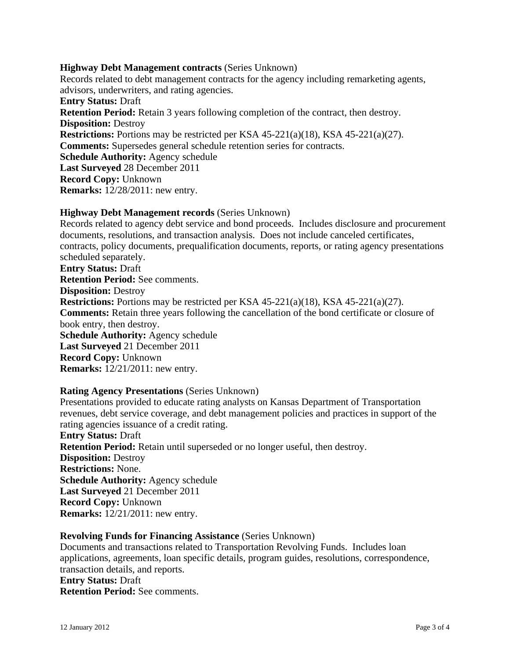#### **Highway Debt Management contracts** (Series Unknown)

Records related to debt management contracts for the agency including remarketing agents, advisors, underwriters, and rating agencies. **Entry Status:** Draft **Retention Period:** Retain 3 years following completion of the contract, then destroy. **Disposition:** Destroy **Restrictions:** Portions may be restricted per KSA 45-221(a)(18), KSA 45-221(a)(27). **Comments:** Supersedes general schedule retention series for contracts. **Schedule Authority:** Agency schedule **Last Surveyed** 28 December 2011 **Record Copy:** Unknown **Remarks:** 12/28/2011: new entry.

### **Highway Debt Management records** (Series Unknown)

Records related to agency debt service and bond proceeds. Includes disclosure and procurement documents, resolutions, and transaction analysis. Does not include canceled certificates, contracts, policy documents, prequalification documents, reports, or rating agency presentations scheduled separately. **Entry Status:** Draft **Retention Period:** See comments. **Disposition:** Destroy **Restrictions:** Portions may be restricted per KSA 45-221(a)(18), KSA 45-221(a)(27). **Comments:** Retain three years following the cancellation of the bond certificate or closure of book entry, then destroy. **Schedule Authority:** Agency schedule **Last Surveyed** 21 December 2011 **Record Copy:** Unknown **Remarks:** 12/21/2011: new entry.

## **Rating Agency Presentations** (Series Unknown)

Presentations provided to educate rating analysts on Kansas Department of Transportation revenues, debt service coverage, and debt management policies and practices in support of the rating agencies issuance of a credit rating. **Entry Status:** Draft **Retention Period:** Retain until superseded or no longer useful, then destroy. **Disposition:** Destroy **Restrictions:** None. **Schedule Authority:** Agency schedule **Last Surveyed** 21 December 2011 **Record Copy:** Unknown **Remarks:** 12/21/2011: new entry.

#### **Revolving Funds for Financing Assistance** (Series Unknown)

Documents and transactions related to Transportation Revolving Funds. Includes loan applications, agreements, loan specific details, program guides, resolutions, correspondence, transaction details, and reports.

**Entry Status:** Draft **Retention Period:** See comments.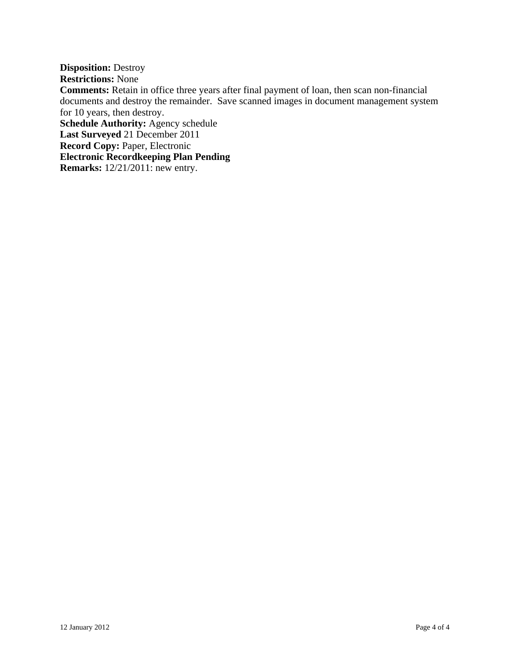**Disposition:** Destroy

**Restrictions:** None

**Comments:** Retain in office three years after final payment of loan, then scan non-financial documents and destroy the remainder. Save scanned images in document management system for 10 years, then destroy.

**Schedule Authority:** Agency schedule

**Last Surveyed** 21 December 2011

**Record Copy:** Paper, Electronic

**Electronic Recordkeeping Plan Pending**

**Remarks:** 12/21/2011: new entry.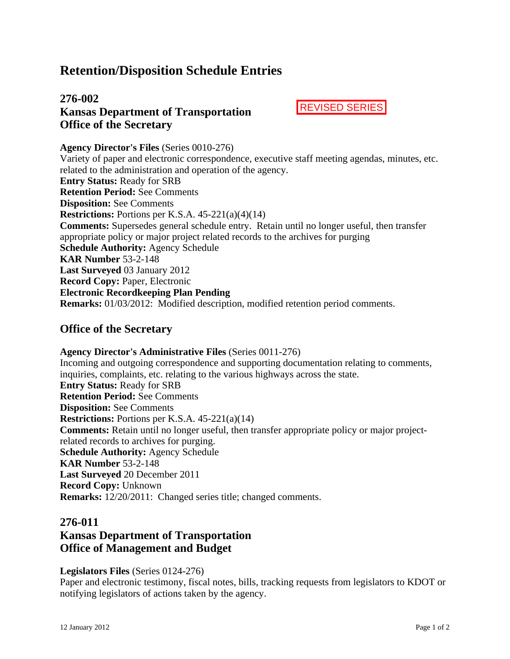# **Retention/Disposition Schedule Entries**

## **276-002 Kansas Department of Transportation Office of the Secretary**

REVISED SERIES

**Agency Director's Files** (Series 0010-276) Variety of paper and electronic correspondence, executive staff meeting agendas, minutes, etc. related to the administration and operation of the agency. **Entry Status:** Ready for SRB **Retention Period:** See Comments **Disposition:** See Comments **Restrictions:** Portions per K.S.A. 45-221(a)(4)(14) **Comments:** Supersedes general schedule entry. Retain until no longer useful, then transfer appropriate policy or major project related records to the archives for purging **Schedule Authority:** Agency Schedule **KAR Number** 53-2-148 **Last Surveyed** 03 January 2012 **Record Copy:** Paper, Electronic **Electronic Recordkeeping Plan Pending Remarks:** 01/03/2012: Modified description, modified retention period comments.

## **Office of the Secretary**

**Agency Director's Administrative Files** (Series 0011-276) Incoming and outgoing correspondence and supporting documentation relating to comments, inquiries, complaints, etc. relating to the various highways across the state. **Entry Status:** Ready for SRB **Retention Period:** See Comments **Disposition:** See Comments **Restrictions:** Portions per K.S.A. 45-221(a)(14) **Comments:** Retain until no longer useful, then transfer appropriate policy or major projectrelated records to archives for purging. **Schedule Authority:** Agency Schedule **KAR Number** 53-2-148 **Last Surveyed** 20 December 2011 **Record Copy:** Unknown **Remarks:** 12/20/2011: Changed series title; changed comments.

## **276-011**

# **Kansas Department of Transportation Office of Management and Budget**

#### **Legislators Files** (Series 0124-276)

Paper and electronic testimony, fiscal notes, bills, tracking requests from legislators to KDOT or notifying legislators of actions taken by the agency.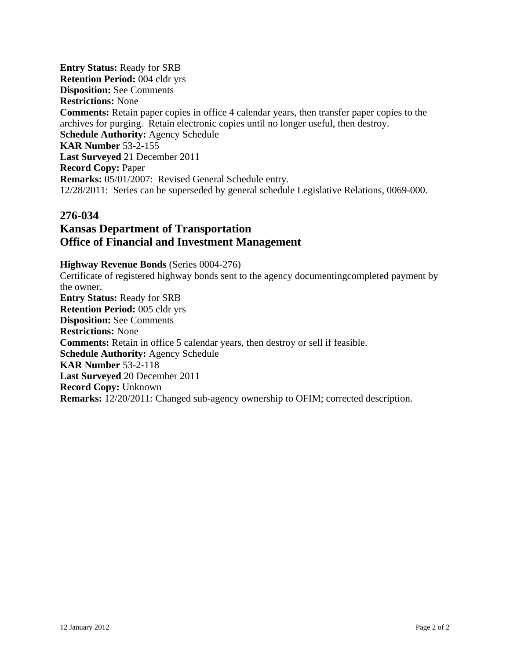**Entry Status:** Ready for SRB **Retention Period:** 004 cldr yrs **Disposition:** See Comments **Restrictions:** None **Comments:** Retain paper copies in office 4 calendar years, then transfer paper copies to the archives for purging. Retain electronic copies until no longer useful, then destroy. **Schedule Authority:** Agency Schedule **KAR Number** 53-2-155 **Last Surveyed** 21 December 2011 **Record Copy:** Paper **Remarks:** 05/01/2007: Revised General Schedule entry. 12/28/2011: Series can be superseded by general schedule Legislative Relations, 0069-000.

## **276-034**

## **Kansas Department of Transportation Office of Financial and Investment Management**

**Highway Revenue Bonds** (Series 0004-276)

Certificate of registered highway bonds sent to the agency documentingcompleted payment by the owner. **Entry Status:** Ready for SRB **Retention Period:** 005 cldr yrs **Disposition:** See Comments **Restrictions:** None **Comments:** Retain in office 5 calendar years, then destroy or sell if feasible. **Schedule Authority:** Agency Schedule **KAR Number** 53-2-118 **Last Surveyed** 20 December 2011 **Record Copy:** Unknown **Remarks:** 12/20/2011: Changed sub-agency ownership to OFIM; corrected description.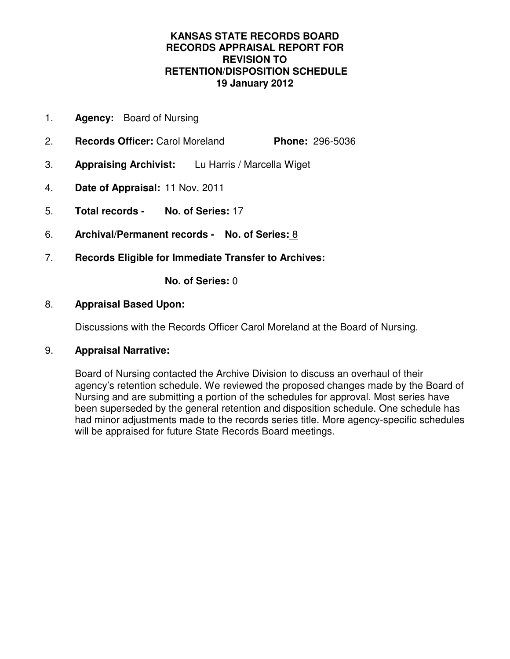## **KANSAS STATE RECORDS BOARD RECORDS APPRAISAL REPORT FOR REVISION TO RETENTION/DISPOSITION SCHEDULE 19 January 2012**

- 1. **Agency:** Board of Nursing
- 2. **Records Officer:** Carol Moreland **Phone:** 296-5036
- 3. **Appraising Archivist:** Lu Harris / Marcella Wiget
- 4. **Date of Appraisal:** 11 Nov. 2011
- 5. **Total records No. of Series:** 17
- 6. **Archival/Permanent records No. of Series:** 8
- 7. **Records Eligible for Immediate Transfer to Archives:**

**No. of Series:** 0

## 8. **Appraisal Based Upon:**

Discussions with the Records Officer Carol Moreland at the Board of Nursing.

## 9. **Appraisal Narrative:**

Board of Nursing contacted the Archive Division to discuss an overhaul of their agency's retention schedule. We reviewed the proposed changes made by the Board of Nursing and are submitting a portion of the schedules for approval. Most series have been superseded by the general retention and disposition schedule. One schedule has had minor adjustments made to the records series title. More agency-specific schedules will be appraised for future State Records Board meetings.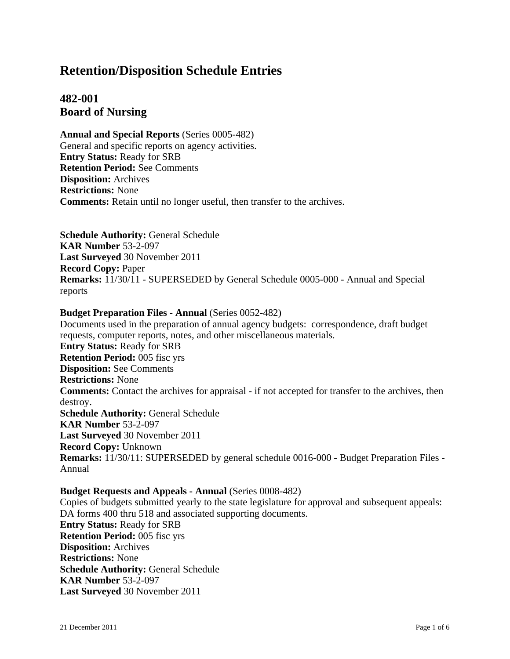# **Retention/Disposition Schedule Entries**

## **482-001 Board of Nursing**

**Annual and Special Reports** (Series 0005-482) General and specific reports on agency activities. **Entry Status:** Ready for SRB **Retention Period:** See Comments **Disposition:** Archives **Restrictions:** None **Comments:** Retain until no longer useful, then transfer to the archives.

**Schedule Authority:** General Schedule **KAR Number** 53-2-097 **Last Surveyed** 30 November 2011 **Record Copy:** Paper **Remarks:** 11/30/11 - SUPERSEDED by General Schedule 0005-000 - Annual and Special reports

### **Budget Preparation Files - Annual** (Series 0052-482)

Documents used in the preparation of annual agency budgets: correspondence, draft budget requests, computer reports, notes, and other miscellaneous materials. **Entry Status:** Ready for SRB **Retention Period:** 005 fisc yrs **Disposition:** See Comments **Restrictions:** None **Comments:** Contact the archives for appraisal - if not accepted for transfer to the archives, then destroy. **Schedule Authority:** General Schedule **KAR Number** 53-2-097 **Last Surveyed** 30 November 2011 **Record Copy:** Unknown **Remarks:** 11/30/11: SUPERSEDED by general schedule 0016-000 - Budget Preparation Files - Annual

#### **Budget Requests and Appeals - Annual** (Series 0008-482)

Copies of budgets submitted yearly to the state legislature for approval and subsequent appeals: DA forms 400 thru 518 and associated supporting documents. **Entry Status:** Ready for SRB **Retention Period:** 005 fisc yrs **Disposition:** Archives **Restrictions:** None **Schedule Authority:** General Schedule **KAR Number** 53-2-097 **Last Surveyed** 30 November 2011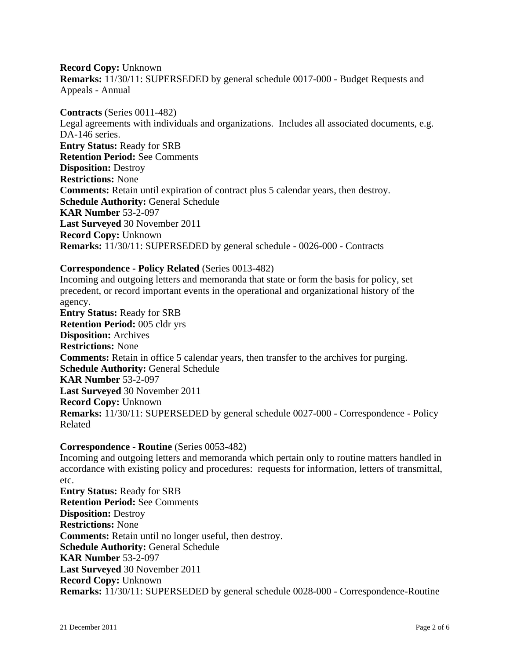**Record Copy:** Unknown **Remarks:** 11/30/11: SUPERSEDED by general schedule 0017-000 - Budget Requests and Appeals - Annual

**Contracts** (Series 0011-482) Legal agreements with individuals and organizations. Includes all associated documents, e.g. DA-146 series. **Entry Status:** Ready for SRB **Retention Period:** See Comments **Disposition:** Destroy **Restrictions:** None **Comments:** Retain until expiration of contract plus 5 calendar years, then destroy. **Schedule Authority:** General Schedule **KAR Number** 53-2-097 **Last Surveyed** 30 November 2011 **Record Copy:** Unknown **Remarks:** 11/30/11: SUPERSEDED by general schedule - 0026-000 - Contracts

### **Correspondence - Policy Related** (Series 0013-482)

Incoming and outgoing letters and memoranda that state or form the basis for policy, set precedent, or record important events in the operational and organizational history of the agency. **Entry Status:** Ready for SRB

**Retention Period:** 005 cldr yrs **Disposition:** Archives **Restrictions:** None **Comments:** Retain in office 5 calendar years, then transfer to the archives for purging. **Schedule Authority:** General Schedule **KAR Number** 53-2-097 **Last Surveyed** 30 November 2011 **Record Copy:** Unknown **Remarks:** 11/30/11: SUPERSEDED by general schedule 0027-000 - Correspondence - Policy Related

#### **Correspondence - Routine** (Series 0053-482)

Incoming and outgoing letters and memoranda which pertain only to routine matters handled in accordance with existing policy and procedures: requests for information, letters of transmittal, etc.

**Entry Status:** Ready for SRB **Retention Period:** See Comments **Disposition:** Destroy **Restrictions:** None **Comments:** Retain until no longer useful, then destroy. **Schedule Authority:** General Schedule **KAR Number** 53-2-097 **Last Surveyed** 30 November 2011 **Record Copy:** Unknown **Remarks:** 11/30/11: SUPERSEDED by general schedule 0028-000 - Correspondence-Routine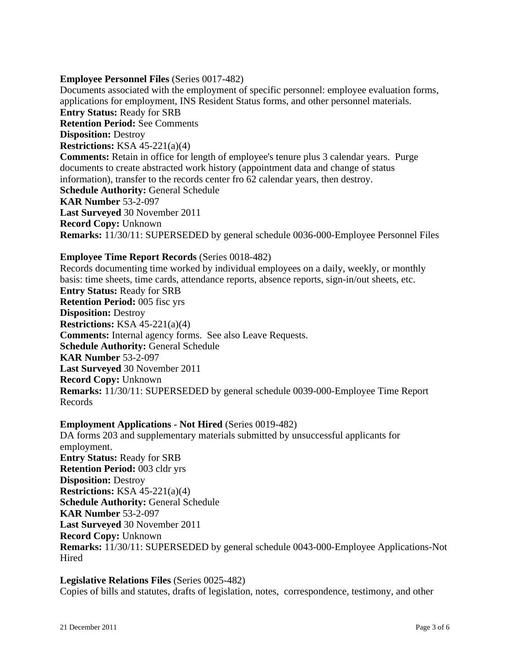### **Employee Personnel Files** (Series 0017-482)

Documents associated with the employment of specific personnel: employee evaluation forms, applications for employment, INS Resident Status forms, and other personnel materials. **Entry Status:** Ready for SRB **Retention Period:** See Comments **Disposition:** Destroy **Restrictions:** KSA 45-221(a)(4) **Comments:** Retain in office for length of employee's tenure plus 3 calendar years. Purge documents to create abstracted work history (appointment data and change of status information), transfer to the records center fro 62 calendar years, then destroy. **Schedule Authority:** General Schedule **KAR Number** 53-2-097 **Last Surveyed** 30 November 2011 **Record Copy:** Unknown **Remarks:** 11/30/11: SUPERSEDED by general schedule 0036-000-Employee Personnel Files

#### **Employee Time Report Records** (Series 0018-482)

Records documenting time worked by individual employees on a daily, weekly, or monthly basis: time sheets, time cards, attendance reports, absence reports, sign-in/out sheets, etc. **Entry Status:** Ready for SRB **Retention Period:** 005 fisc yrs **Disposition:** Destroy **Restrictions:** KSA 45-221(a)(4) **Comments:** Internal agency forms. See also Leave Requests. **Schedule Authority:** General Schedule **KAR Number** 53-2-097 **Last Surveyed** 30 November 2011 **Record Copy:** Unknown **Remarks:** 11/30/11: SUPERSEDED by general schedule 0039-000-Employee Time Report Records

## **Employment Applications - Not Hired** (Series 0019-482)

DA forms 203 and supplementary materials submitted by unsuccessful applicants for employment. **Entry Status:** Ready for SRB **Retention Period:** 003 cldr yrs **Disposition:** Destroy **Restrictions:** KSA 45-221(a)(4) **Schedule Authority:** General Schedule **KAR Number** 53-2-097 **Last Surveyed** 30 November 2011 **Record Copy:** Unknown **Remarks:** 11/30/11: SUPERSEDED by general schedule 0043-000-Employee Applications-Not **Hired** 

### **Legislative Relations Files** (Series 0025-482)

Copies of bills and statutes, drafts of legislation, notes, correspondence, testimony, and other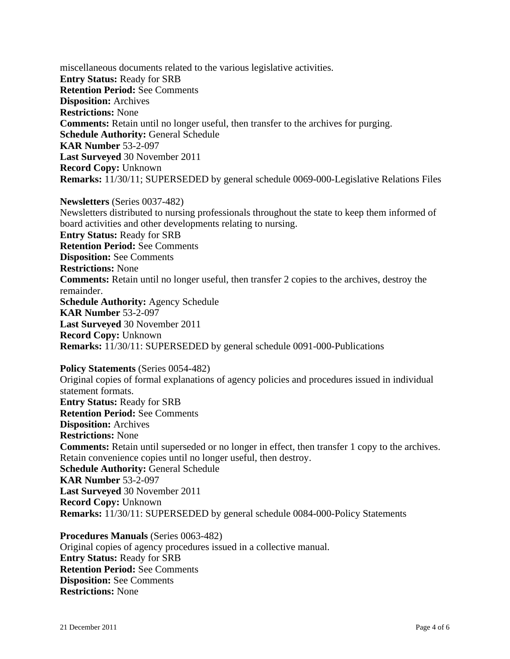miscellaneous documents related to the various legislative activities. **Entry Status:** Ready for SRB **Retention Period:** See Comments **Disposition:** Archives **Restrictions:** None **Comments:** Retain until no longer useful, then transfer to the archives for purging. **Schedule Authority:** General Schedule **KAR Number** 53-2-097 **Last Surveyed** 30 November 2011 **Record Copy:** Unknown **Remarks:** 11/30/11; SUPERSEDED by general schedule 0069-000-Legislative Relations Files

**Newsletters** (Series 0037-482) Newsletters distributed to nursing professionals throughout the state to keep them informed of board activities and other developments relating to nursing. **Entry Status:** Ready for SRB **Retention Period:** See Comments **Disposition:** See Comments **Restrictions:** None **Comments:** Retain until no longer useful, then transfer 2 copies to the archives, destroy the remainder. **Schedule Authority:** Agency Schedule **KAR Number** 53-2-097 **Last Surveyed** 30 November 2011 **Record Copy:** Unknown **Remarks:** 11/30/11: SUPERSEDED by general schedule 0091-000-Publications

**Policy Statements** (Series 0054-482) Original copies of formal explanations of agency policies and procedures issued in individual statement formats. **Entry Status:** Ready for SRB **Retention Period:** See Comments **Disposition:** Archives **Restrictions:** None **Comments:** Retain until superseded or no longer in effect, then transfer 1 copy to the archives. Retain convenience copies until no longer useful, then destroy. **Schedule Authority:** General Schedule **KAR Number** 53-2-097 **Last Surveyed** 30 November 2011 **Record Copy:** Unknown **Remarks:** 11/30/11: SUPERSEDED by general schedule 0084-000-Policy Statements

**Procedures Manuals** (Series 0063-482) Original copies of agency procedures issued in a collective manual. **Entry Status:** Ready for SRB **Retention Period:** See Comments **Disposition:** See Comments **Restrictions:** None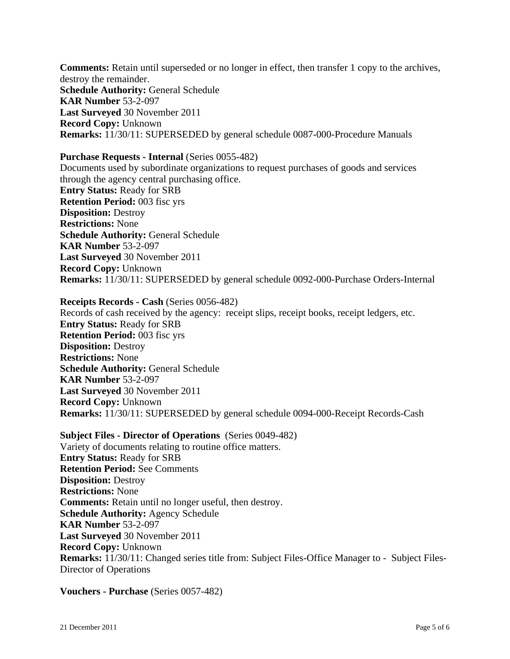**Comments:** Retain until superseded or no longer in effect, then transfer 1 copy to the archives, destroy the remainder. **Schedule Authority:** General Schedule **KAR Number** 53-2-097 **Last Surveyed** 30 November 2011 **Record Copy:** Unknown **Remarks:** 11/30/11: SUPERSEDED by general schedule 0087-000-Procedure Manuals

#### **Purchase Requests - Internal** (Series 0055-482)

Documents used by subordinate organizations to request purchases of goods and services through the agency central purchasing office. **Entry Status:** Ready for SRB **Retention Period:** 003 fisc yrs **Disposition:** Destroy **Restrictions:** None **Schedule Authority:** General Schedule **KAR Number** 53-2-097 **Last Surveyed** 30 November 2011 **Record Copy:** Unknown **Remarks:** 11/30/11: SUPERSEDED by general schedule 0092-000-Purchase Orders-Internal

**Receipts Records - Cash** (Series 0056-482) Records of cash received by the agency: receipt slips, receipt books, receipt ledgers, etc. **Entry Status:** Ready for SRB **Retention Period:** 003 fisc yrs **Disposition:** Destroy **Restrictions:** None **Schedule Authority:** General Schedule **KAR Number** 53-2-097 **Last Surveyed** 30 November 2011 **Record Copy:** Unknown **Remarks:** 11/30/11: SUPERSEDED by general schedule 0094-000-Receipt Records-Cash

**Subject Files - Director of Operations** (Series 0049-482) Variety of documents relating to routine office matters. **Entry Status:** Ready for SRB **Retention Period:** See Comments **Disposition:** Destroy **Restrictions:** None **Comments:** Retain until no longer useful, then destroy. **Schedule Authority:** Agency Schedule **KAR Number** 53-2-097 **Last Surveyed** 30 November 2011 **Record Copy:** Unknown **Remarks:** 11/30/11: Changed series title from: Subject Files-Office Manager to - Subject Files-Director of Operations

**Vouchers - Purchase** (Series 0057-482)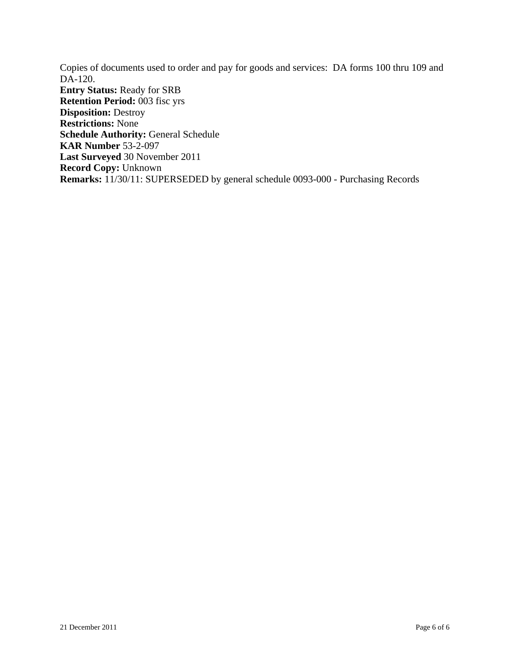Copies of documents used to order and pay for goods and services: DA forms 100 thru 109 and DA-120. **Entry Status:** Ready for SRB **Retention Period:** 003 fisc yrs **Disposition:** Destroy **Restrictions:** None **Schedule Authority:** General Schedule **KAR Number** 53-2-097 **Last Surveyed** 30 November 2011 **Record Copy:** Unknown **Remarks:** 11/30/11: SUPERSEDED by general schedule 0093-000 - Purchasing Records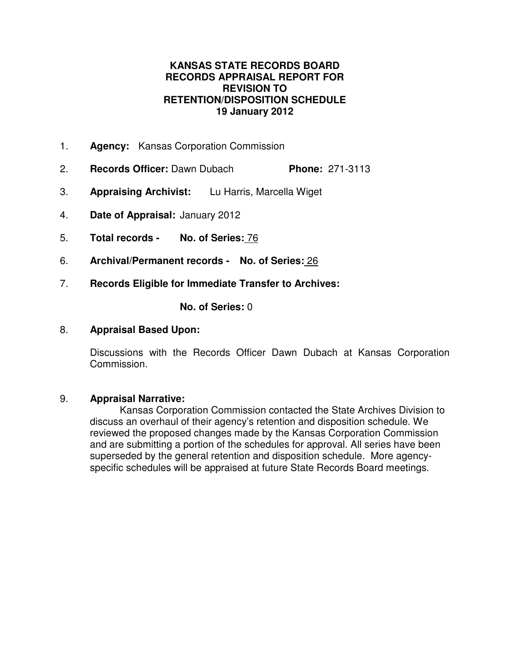# **KANSAS STATE RECORDS BOARD RECORDS APPRAISAL REPORT FOR REVISION TO RETENTION/DISPOSITION SCHEDULE 19 January 2012**

- 1. **Agency:** Kansas Corporation Commission
- 2. **Records Officer:** Dawn Dubach **Phone:** 271-3113
- 3. **Appraising Archivist:** Lu Harris, Marcella Wiget
- 4. **Date of Appraisal:** January 2012
- 5. **Total records No. of Series:** 76
- 6. **Archival/Permanent records No. of Series:** 26
- 7. **Records Eligible for Immediate Transfer to Archives:**

**No. of Series:** 0

# 8. **Appraisal Based Upon:**

Discussions with the Records Officer Dawn Dubach at Kansas Corporation Commission.

## 9. **Appraisal Narrative:**

Kansas Corporation Commission contacted the State Archives Division to discuss an overhaul of their agency's retention and disposition schedule. We reviewed the proposed changes made by the Kansas Corporation Commission and are submitting a portion of the schedules for approval. All series have been superseded by the general retention and disposition schedule. More agencyspecific schedules will be appraised at future State Records Board meetings.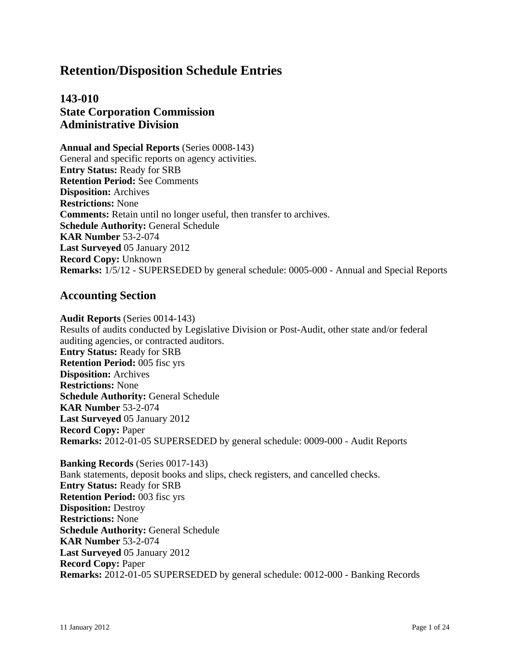# **Retention/Disposition Schedule Entries**

# **143-010 State Corporation Commission Administrative Division**

**Annual and Special Reports** (Series 0008-143) General and specific reports on agency activities. **Entry Status:** Ready for SRB **Retention Period:** See Comments **Disposition:** Archives **Restrictions:** None **Comments:** Retain until no longer useful, then transfer to archives. **Schedule Authority:** General Schedule **KAR Number** 53-2-074 **Last Surveyed** 05 January 2012 **Record Copy:** Unknown **Remarks:** 1/5/12 - SUPERSEDED by general schedule: 0005-000 - Annual and Special Reports

# **Accounting Section**

**Audit Reports** (Series 0014-143) Results of audits conducted by Legislative Division or Post-Audit, other state and/or federal auditing agencies, or contracted auditors. **Entry Status:** Ready for SRB **Retention Period:** 005 fisc yrs **Disposition:** Archives **Restrictions:** None **Schedule Authority:** General Schedule **KAR Number** 53-2-074 **Last Surveyed** 05 January 2012 **Record Copy:** Paper **Remarks:** 2012-01-05 SUPERSEDED by general schedule: 0009-000 - Audit Reports

**Banking Records** (Series 0017-143) Bank statements, deposit books and slips, check registers, and cancelled checks. **Entry Status:** Ready for SRB **Retention Period:** 003 fisc yrs **Disposition:** Destroy **Restrictions:** None **Schedule Authority:** General Schedule **KAR Number** 53-2-074 **Last Surveyed** 05 January 2012 **Record Copy:** Paper **Remarks:** 2012-01-05 SUPERSEDED by general schedule: 0012-000 - Banking Records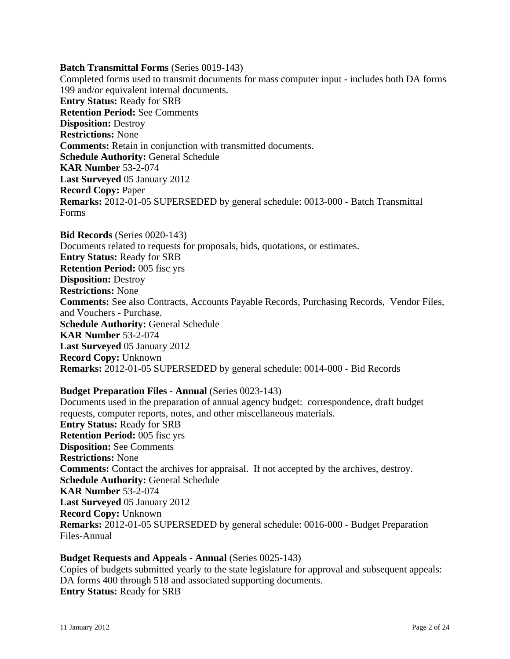#### **Batch Transmittal Forms** (Series 0019-143)

Completed forms used to transmit documents for mass computer input - includes both DA forms 199 and/or equivalent internal documents. **Entry Status:** Ready for SRB **Retention Period:** See Comments **Disposition:** Destroy **Restrictions:** None **Comments:** Retain in conjunction with transmitted documents. **Schedule Authority:** General Schedule **KAR Number** 53-2-074 **Last Surveyed** 05 January 2012 **Record Copy:** Paper **Remarks:** 2012-01-05 SUPERSEDED by general schedule: 0013-000 - Batch Transmittal Forms

**Bid Records** (Series 0020-143) Documents related to requests for proposals, bids, quotations, or estimates. **Entry Status:** Ready for SRB **Retention Period:** 005 fisc yrs **Disposition:** Destroy **Restrictions:** None **Comments:** See also Contracts, Accounts Payable Records, Purchasing Records, Vendor Files, and Vouchers - Purchase. **Schedule Authority:** General Schedule **KAR Number** 53-2-074 **Last Surveyed** 05 January 2012 **Record Copy:** Unknown **Remarks:** 2012-01-05 SUPERSEDED by general schedule: 0014-000 - Bid Records

## **Budget Preparation Files - Annual** (Series 0023-143)

Documents used in the preparation of annual agency budget: correspondence, draft budget requests, computer reports, notes, and other miscellaneous materials. **Entry Status:** Ready for SRB **Retention Period:** 005 fisc yrs **Disposition:** See Comments **Restrictions:** None **Comments:** Contact the archives for appraisal. If not accepted by the archives, destroy. **Schedule Authority:** General Schedule **KAR Number** 53-2-074 **Last Surveyed** 05 January 2012 **Record Copy:** Unknown **Remarks:** 2012-01-05 SUPERSEDED by general schedule: 0016-000 - Budget Preparation Files-Annual

## **Budget Requests and Appeals - Annual** (Series 0025-143)

Copies of budgets submitted yearly to the state legislature for approval and subsequent appeals: DA forms 400 through 518 and associated supporting documents. **Entry Status:** Ready for SRB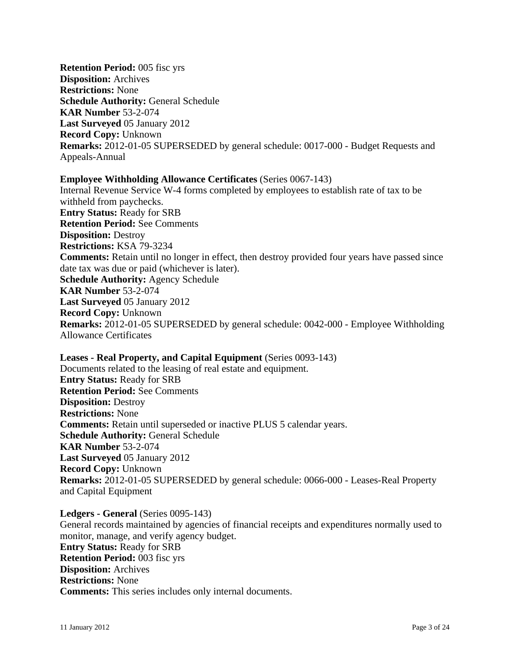**Retention Period:** 005 fisc yrs **Disposition:** Archives **Restrictions:** None **Schedule Authority:** General Schedule **KAR Number** 53-2-074 **Last Surveyed** 05 January 2012 **Record Copy:** Unknown **Remarks:** 2012-01-05 SUPERSEDED by general schedule: 0017-000 - Budget Requests and Appeals-Annual

# **Employee Withholding Allowance Certificates** (Series 0067-143)

Internal Revenue Service W-4 forms completed by employees to establish rate of tax to be withheld from paychecks. **Entry Status:** Ready for SRB **Retention Period:** See Comments **Disposition:** Destroy **Restrictions:** KSA 79-3234 **Comments:** Retain until no longer in effect, then destroy provided four years have passed since date tax was due or paid (whichever is later). **Schedule Authority:** Agency Schedule **KAR Number** 53-2-074 **Last Surveyed** 05 January 2012 **Record Copy:** Unknown **Remarks:** 2012-01-05 SUPERSEDED by general schedule: 0042-000 - Employee Withholding Allowance Certificates

**Leases - Real Property, and Capital Equipment** (Series 0093-143) Documents related to the leasing of real estate and equipment. **Entry Status:** Ready for SRB **Retention Period:** See Comments **Disposition:** Destroy **Restrictions:** None **Comments:** Retain until superseded or inactive PLUS 5 calendar years. **Schedule Authority:** General Schedule **KAR Number** 53-2-074 **Last Surveyed** 05 January 2012 **Record Copy:** Unknown **Remarks:** 2012-01-05 SUPERSEDED by general schedule: 0066-000 - Leases-Real Property and Capital Equipment

**Ledgers - General** (Series 0095-143) General records maintained by agencies of financial receipts and expenditures normally used to monitor, manage, and verify agency budget. **Entry Status:** Ready for SRB **Retention Period:** 003 fisc yrs **Disposition:** Archives **Restrictions:** None **Comments:** This series includes only internal documents.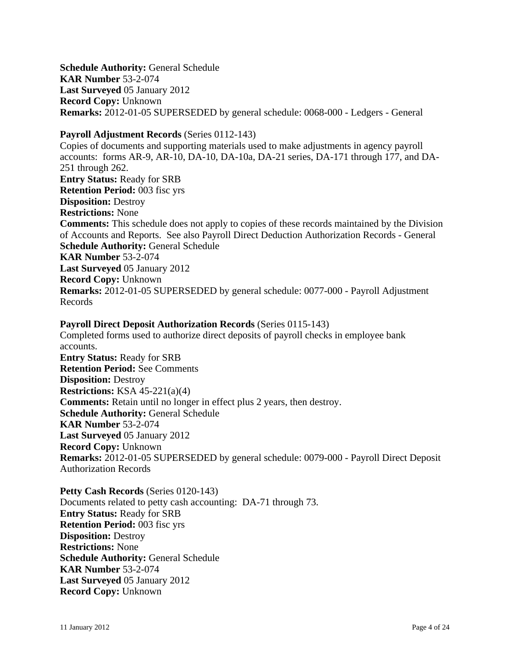**Schedule Authority:** General Schedule **KAR Number** 53-2-074 **Last Surveyed** 05 January 2012 **Record Copy:** Unknown **Remarks:** 2012-01-05 SUPERSEDED by general schedule: 0068-000 - Ledgers - General

# **Payroll Adjustment Records** (Series 0112-143)

Copies of documents and supporting materials used to make adjustments in agency payroll accounts: forms AR-9, AR-10, DA-10, DA-10a, DA-21 series, DA-171 through 177, and DA-251 through 262. **Entry Status:** Ready for SRB **Retention Period:** 003 fisc yrs **Disposition:** Destroy **Restrictions:** None **Comments:** This schedule does not apply to copies of these records maintained by the Division of Accounts and Reports. See also Payroll Direct Deduction Authorization Records - General **Schedule Authority:** General Schedule **KAR Number** 53-2-074 **Last Surveyed** 05 January 2012 **Record Copy:** Unknown **Remarks:** 2012-01-05 SUPERSEDED by general schedule: 0077-000 - Payroll Adjustment Records

## **Payroll Direct Deposit Authorization Records** (Series 0115-143)

Completed forms used to authorize direct deposits of payroll checks in employee bank accounts. **Entry Status:** Ready for SRB **Retention Period:** See Comments **Disposition:** Destroy **Restrictions:** KSA 45-221(a)(4) **Comments:** Retain until no longer in effect plus 2 years, then destroy. **Schedule Authority:** General Schedule **KAR Number** 53-2-074 **Last Surveyed** 05 January 2012 **Record Copy:** Unknown **Remarks:** 2012-01-05 SUPERSEDED by general schedule: 0079-000 - Payroll Direct Deposit Authorization Records

**Petty Cash Records** (Series 0120-143) Documents related to petty cash accounting: DA-71 through 73. **Entry Status:** Ready for SRB **Retention Period:** 003 fisc yrs **Disposition:** Destroy **Restrictions:** None **Schedule Authority:** General Schedule **KAR Number** 53-2-074 **Last Surveyed** 05 January 2012 **Record Copy:** Unknown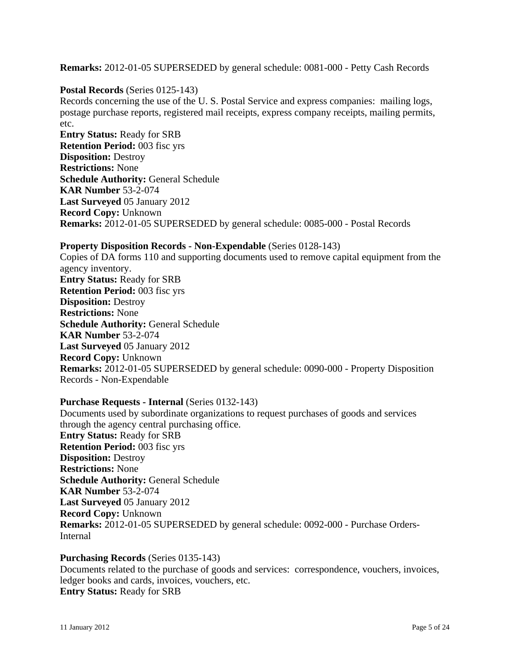**Remarks:** 2012-01-05 SUPERSEDED by general schedule: 0081-000 - Petty Cash Records

### **Postal Records** (Series 0125-143)

Records concerning the use of the U. S. Postal Service and express companies: mailing logs, postage purchase reports, registered mail receipts, express company receipts, mailing permits, etc.

**Entry Status:** Ready for SRB **Retention Period:** 003 fisc yrs **Disposition:** Destroy **Restrictions:** None **Schedule Authority:** General Schedule **KAR Number** 53-2-074 **Last Surveyed** 05 January 2012 **Record Copy:** Unknown **Remarks:** 2012-01-05 SUPERSEDED by general schedule: 0085-000 - Postal Records

### **Property Disposition Records - Non-Expendable** (Series 0128-143)

Copies of DA forms 110 and supporting documents used to remove capital equipment from the agency inventory. **Entry Status:** Ready for SRB **Retention Period:** 003 fisc yrs **Disposition:** Destroy **Restrictions:** None **Schedule Authority:** General Schedule **KAR Number** 53-2-074 **Last Surveyed** 05 January 2012 **Record Copy:** Unknown **Remarks:** 2012-01-05 SUPERSEDED by general schedule: 0090-000 - Property Disposition Records - Non-Expendable

#### **Purchase Requests - Internal** (Series 0132-143)

Documents used by subordinate organizations to request purchases of goods and services through the agency central purchasing office. **Entry Status:** Ready for SRB **Retention Period:** 003 fisc yrs **Disposition:** Destroy **Restrictions:** None **Schedule Authority:** General Schedule **KAR Number** 53-2-074 **Last Surveyed** 05 January 2012 **Record Copy:** Unknown **Remarks:** 2012-01-05 SUPERSEDED by general schedule: 0092-000 - Purchase Orders-Internal

#### **Purchasing Records** (Series 0135-143)

Documents related to the purchase of goods and services: correspondence, vouchers, invoices, ledger books and cards, invoices, vouchers, etc. **Entry Status:** Ready for SRB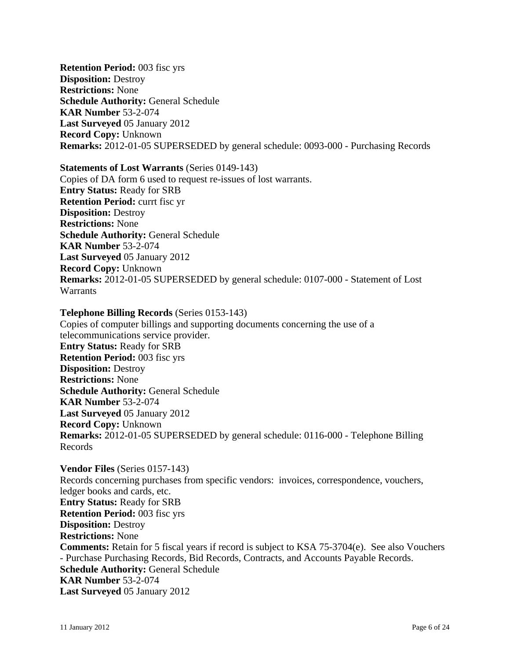**Retention Period:** 003 fisc yrs **Disposition:** Destroy **Restrictions:** None **Schedule Authority:** General Schedule **KAR Number** 53-2-074 **Last Surveyed** 05 January 2012 **Record Copy:** Unknown **Remarks:** 2012-01-05 SUPERSEDED by general schedule: 0093-000 - Purchasing Records

#### **Statements of Lost Warrants** (Series 0149-143)

Copies of DA form 6 used to request re-issues of lost warrants. **Entry Status:** Ready for SRB **Retention Period:** currt fisc yr **Disposition:** Destroy **Restrictions:** None **Schedule Authority:** General Schedule **KAR Number** 53-2-074 **Last Surveyed** 05 January 2012 **Record Copy:** Unknown **Remarks:** 2012-01-05 SUPERSEDED by general schedule: 0107-000 - Statement of Lost **Warrants** 

#### **Telephone Billing Records** (Series 0153-143)

Copies of computer billings and supporting documents concerning the use of a telecommunications service provider. **Entry Status:** Ready for SRB **Retention Period:** 003 fisc yrs **Disposition:** Destroy **Restrictions:** None **Schedule Authority:** General Schedule **KAR Number** 53-2-074 **Last Surveyed** 05 January 2012 **Record Copy:** Unknown **Remarks:** 2012-01-05 SUPERSEDED by general schedule: 0116-000 - Telephone Billing Records

**Vendor Files** (Series 0157-143) Records concerning purchases from specific vendors: invoices, correspondence, vouchers, ledger books and cards, etc. **Entry Status:** Ready for SRB **Retention Period:** 003 fisc yrs **Disposition:** Destroy **Restrictions:** None **Comments:** Retain for 5 fiscal years if record is subject to KSA 75-3704(e). See also Vouchers - Purchase Purchasing Records, Bid Records, Contracts, and Accounts Payable Records. **Schedule Authority:** General Schedule **KAR Number** 53-2-074 **Last Surveyed** 05 January 2012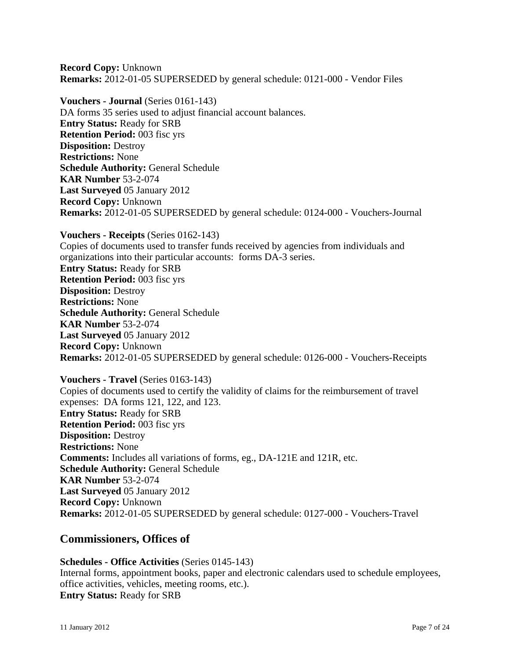**Record Copy:** Unknown **Remarks:** 2012-01-05 SUPERSEDED by general schedule: 0121-000 - Vendor Files

**Vouchers - Journal** (Series 0161-143) DA forms 35 series used to adjust financial account balances. **Entry Status:** Ready for SRB **Retention Period:** 003 fisc yrs **Disposition:** Destroy **Restrictions:** None **Schedule Authority:** General Schedule **KAR Number** 53-2-074 **Last Surveyed** 05 January 2012 **Record Copy:** Unknown **Remarks:** 2012-01-05 SUPERSEDED by general schedule: 0124-000 - Vouchers-Journal

**Vouchers - Receipts** (Series 0162-143) Copies of documents used to transfer funds received by agencies from individuals and organizations into their particular accounts: forms DA-3 series. **Entry Status:** Ready for SRB **Retention Period:** 003 fisc yrs **Disposition:** Destroy **Restrictions:** None **Schedule Authority:** General Schedule **KAR Number** 53-2-074 **Last Surveyed** 05 January 2012 **Record Copy:** Unknown **Remarks:** 2012-01-05 SUPERSEDED by general schedule: 0126-000 - Vouchers-Receipts

**Vouchers - Travel** (Series 0163-143) Copies of documents used to certify the validity of claims for the reimbursement of travel expenses: DA forms 121, 122, and 123. **Entry Status:** Ready for SRB **Retention Period:** 003 fisc yrs **Disposition:** Destroy **Restrictions:** None **Comments:** Includes all variations of forms, eg., DA-121E and 121R, etc. **Schedule Authority:** General Schedule **KAR Number** 53-2-074 **Last Surveyed** 05 January 2012 **Record Copy:** Unknown **Remarks:** 2012-01-05 SUPERSEDED by general schedule: 0127-000 - Vouchers-Travel

## **Commissioners, Offices of**

**Schedules - Office Activities** (Series 0145-143) Internal forms, appointment books, paper and electronic calendars used to schedule employees, office activities, vehicles, meeting rooms, etc.). **Entry Status:** Ready for SRB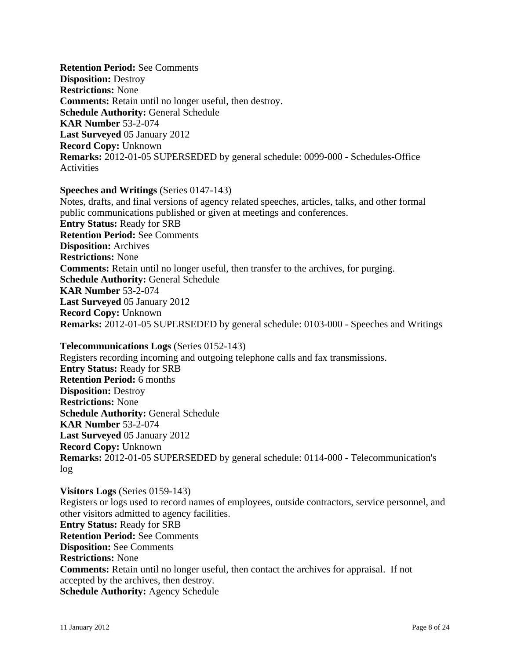**Retention Period:** See Comments **Disposition:** Destroy **Restrictions:** None **Comments:** Retain until no longer useful, then destroy. **Schedule Authority:** General Schedule **KAR Number** 53-2-074 **Last Surveyed** 05 January 2012 **Record Copy:** Unknown **Remarks:** 2012-01-05 SUPERSEDED by general schedule: 0099-000 - Schedules-Office Activities

#### **Speeches and Writings** (Series 0147-143)

Notes, drafts, and final versions of agency related speeches, articles, talks, and other formal public communications published or given at meetings and conferences. **Entry Status:** Ready for SRB **Retention Period:** See Comments **Disposition:** Archives **Restrictions:** None **Comments:** Retain until no longer useful, then transfer to the archives, for purging. **Schedule Authority:** General Schedule **KAR Number** 53-2-074 **Last Surveyed** 05 January 2012 **Record Copy:** Unknown **Remarks:** 2012-01-05 SUPERSEDED by general schedule: 0103-000 - Speeches and Writings

**Telecommunications Logs** (Series 0152-143) Registers recording incoming and outgoing telephone calls and fax transmissions. **Entry Status:** Ready for SRB **Retention Period:** 6 months **Disposition:** Destroy **Restrictions:** None **Schedule Authority:** General Schedule **KAR Number** 53-2-074 **Last Surveyed** 05 January 2012 **Record Copy:** Unknown **Remarks:** 2012-01-05 SUPERSEDED by general schedule: 0114-000 - Telecommunication's log

**Visitors Logs** (Series 0159-143) Registers or logs used to record names of employees, outside contractors, service personnel, and other visitors admitted to agency facilities. **Entry Status:** Ready for SRB **Retention Period:** See Comments **Disposition:** See Comments **Restrictions:** None **Comments:** Retain until no longer useful, then contact the archives for appraisal. If not accepted by the archives, then destroy. **Schedule Authority:** Agency Schedule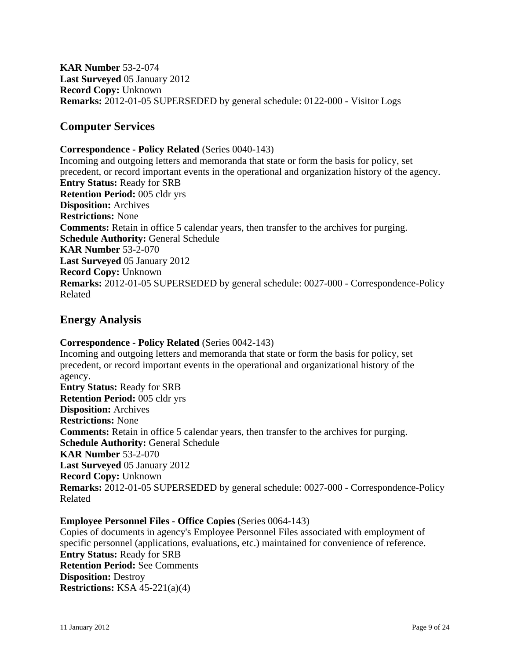**KAR Number** 53-2-074 **Last Surveyed** 05 January 2012 **Record Copy:** Unknown **Remarks:** 2012-01-05 SUPERSEDED by general schedule: 0122-000 - Visitor Logs

# **Computer Services**

#### **Correspondence - Policy Related** (Series 0040-143)

Incoming and outgoing letters and memoranda that state or form the basis for policy, set precedent, or record important events in the operational and organization history of the agency. **Entry Status:** Ready for SRB **Retention Period:** 005 cldr yrs **Disposition:** Archives **Restrictions:** None **Comments:** Retain in office 5 calendar years, then transfer to the archives for purging. **Schedule Authority:** General Schedule **KAR Number** 53-2-070 **Last Surveyed** 05 January 2012 **Record Copy:** Unknown **Remarks:** 2012-01-05 SUPERSEDED by general schedule: 0027-000 - Correspondence-Policy Related

# **Energy Analysis**

**Correspondence - Policy Related** (Series 0042-143) Incoming and outgoing letters and memoranda that state or form the basis for policy, set precedent, or record important events in the operational and organizational history of the agency. **Entry Status:** Ready for SRB **Retention Period:** 005 cldr yrs **Disposition:** Archives **Restrictions:** None **Comments:** Retain in office 5 calendar years, then transfer to the archives for purging. **Schedule Authority:** General Schedule **KAR Number** 53-2-070 **Last Surveyed** 05 January 2012 **Record Copy:** Unknown **Remarks:** 2012-01-05 SUPERSEDED by general schedule: 0027-000 - Correspondence-Policy Related

#### **Employee Personnel Files - Office Copies** (Series 0064-143)

Copies of documents in agency's Employee Personnel Files associated with employment of specific personnel (applications, evaluations, etc.) maintained for convenience of reference. **Entry Status:** Ready for SRB **Retention Period:** See Comments **Disposition:** Destroy **Restrictions:** KSA 45-221(a)(4)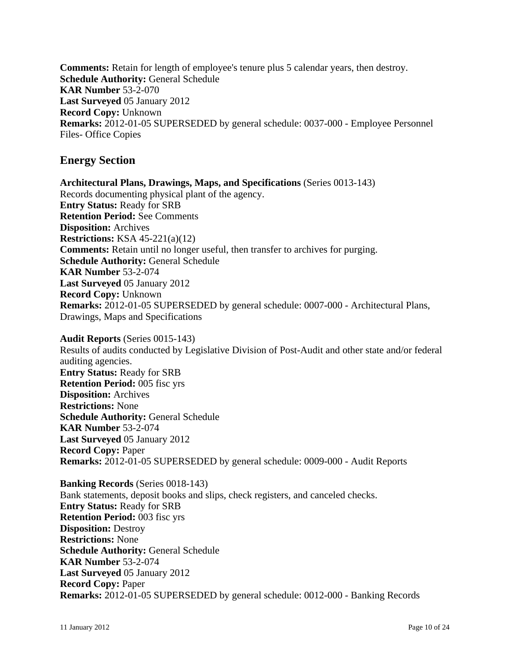**Comments:** Retain for length of employee's tenure plus 5 calendar years, then destroy. **Schedule Authority:** General Schedule **KAR Number** 53-2-070 **Last Surveyed** 05 January 2012 **Record Copy:** Unknown **Remarks:** 2012-01-05 SUPERSEDED by general schedule: 0037-000 - Employee Personnel Files- Office Copies

# **Energy Section**

**Architectural Plans, Drawings, Maps, and Specifications** (Series 0013-143) Records documenting physical plant of the agency. **Entry Status:** Ready for SRB **Retention Period:** See Comments **Disposition:** Archives **Restrictions:** KSA 45-221(a)(12) **Comments:** Retain until no longer useful, then transfer to archives for purging. **Schedule Authority:** General Schedule **KAR Number** 53-2-074 **Last Surveyed** 05 January 2012 **Record Copy:** Unknown **Remarks:** 2012-01-05 SUPERSEDED by general schedule: 0007-000 - Architectural Plans, Drawings, Maps and Specifications

**Audit Reports** (Series 0015-143) Results of audits conducted by Legislative Division of Post-Audit and other state and/or federal auditing agencies. **Entry Status:** Ready for SRB **Retention Period:** 005 fisc yrs **Disposition:** Archives **Restrictions:** None **Schedule Authority:** General Schedule **KAR Number** 53-2-074 **Last Surveyed** 05 January 2012 **Record Copy:** Paper **Remarks:** 2012-01-05 SUPERSEDED by general schedule: 0009-000 - Audit Reports

**Banking Records** (Series 0018-143) Bank statements, deposit books and slips, check registers, and canceled checks. **Entry Status:** Ready for SRB **Retention Period:** 003 fisc yrs **Disposition:** Destroy **Restrictions:** None **Schedule Authority:** General Schedule **KAR Number** 53-2-074 **Last Surveyed** 05 January 2012 **Record Copy:** Paper **Remarks:** 2012-01-05 SUPERSEDED by general schedule: 0012-000 - Banking Records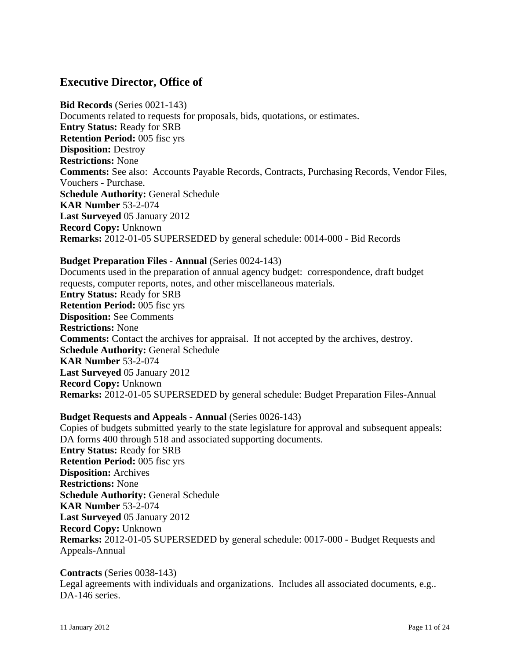# **Executive Director, Office of**

**Bid Records** (Series 0021-143) Documents related to requests for proposals, bids, quotations, or estimates. **Entry Status:** Ready for SRB **Retention Period:** 005 fisc yrs **Disposition:** Destroy **Restrictions:** None **Comments:** See also: Accounts Payable Records, Contracts, Purchasing Records, Vendor Files, Vouchers - Purchase. **Schedule Authority:** General Schedule **KAR Number** 53-2-074 **Last Surveyed** 05 January 2012 **Record Copy:** Unknown **Remarks:** 2012-01-05 SUPERSEDED by general schedule: 0014-000 - Bid Records

#### **Budget Preparation Files - Annual** (Series 0024-143)

Documents used in the preparation of annual agency budget: correspondence, draft budget requests, computer reports, notes, and other miscellaneous materials. **Entry Status:** Ready for SRB **Retention Period:** 005 fisc yrs **Disposition:** See Comments **Restrictions:** None **Comments:** Contact the archives for appraisal. If not accepted by the archives, destroy. **Schedule Authority:** General Schedule **KAR Number** 53-2-074 **Last Surveyed** 05 January 2012 **Record Copy:** Unknown **Remarks:** 2012-01-05 SUPERSEDED by general schedule: Budget Preparation Files-Annual

## **Budget Requests and Appeals - Annual** (Series 0026-143)

Copies of budgets submitted yearly to the state legislature for approval and subsequent appeals: DA forms 400 through 518 and associated supporting documents. **Entry Status:** Ready for SRB **Retention Period:** 005 fisc yrs **Disposition:** Archives **Restrictions:** None **Schedule Authority:** General Schedule **KAR Number** 53-2-074 **Last Surveyed** 05 January 2012 **Record Copy:** Unknown **Remarks:** 2012-01-05 SUPERSEDED by general schedule: 0017-000 - Budget Requests and Appeals-Annual

#### **Contracts** (Series 0038-143)

Legal agreements with individuals and organizations. Includes all associated documents, e.g.. DA-146 series.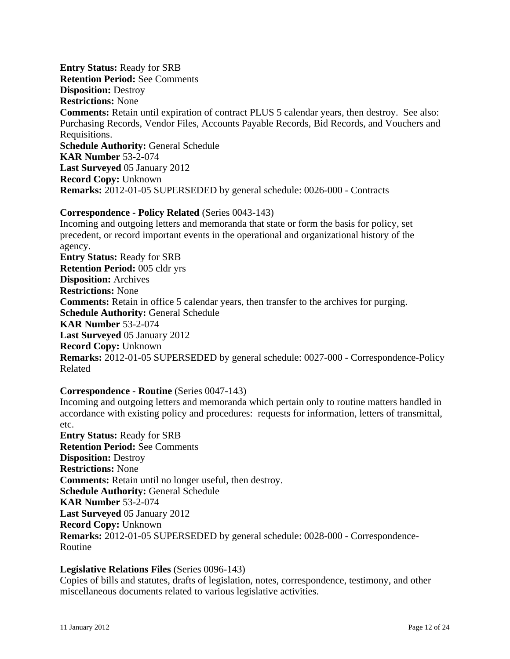**Entry Status:** Ready for SRB **Retention Period:** See Comments **Disposition:** Destroy **Restrictions:** None **Comments:** Retain until expiration of contract PLUS 5 calendar years, then destroy. See also: Purchasing Records, Vendor Files, Accounts Payable Records, Bid Records, and Vouchers and Requisitions. **Schedule Authority:** General Schedule **KAR Number** 53-2-074 **Last Surveyed** 05 January 2012 **Record Copy:** Unknown **Remarks:** 2012-01-05 SUPERSEDED by general schedule: 0026-000 - Contracts

# **Correspondence - Policy Related** (Series 0043-143)

Incoming and outgoing letters and memoranda that state or form the basis for policy, set precedent, or record important events in the operational and organizational history of the agency. **Entry Status:** Ready for SRB **Retention Period:** 005 cldr yrs **Disposition:** Archives **Restrictions:** None **Comments:** Retain in office 5 calendar years, then transfer to the archives for purging. **Schedule Authority:** General Schedule **KAR Number** 53-2-074 **Last Surveyed** 05 January 2012 **Record Copy:** Unknown **Remarks:** 2012-01-05 SUPERSEDED by general schedule: 0027-000 - Correspondence-Policy Related

## **Correspondence - Routine** (Series 0047-143)

Incoming and outgoing letters and memoranda which pertain only to routine matters handled in accordance with existing policy and procedures: requests for information, letters of transmittal, etc.

**Entry Status:** Ready for SRB **Retention Period:** See Comments **Disposition:** Destroy **Restrictions:** None **Comments:** Retain until no longer useful, then destroy. **Schedule Authority:** General Schedule **KAR Number** 53-2-074 **Last Surveyed** 05 January 2012 **Record Copy:** Unknown **Remarks:** 2012-01-05 SUPERSEDED by general schedule: 0028-000 - Correspondence-Routine

#### **Legislative Relations Files** (Series 0096-143)

Copies of bills and statutes, drafts of legislation, notes, correspondence, testimony, and other miscellaneous documents related to various legislative activities.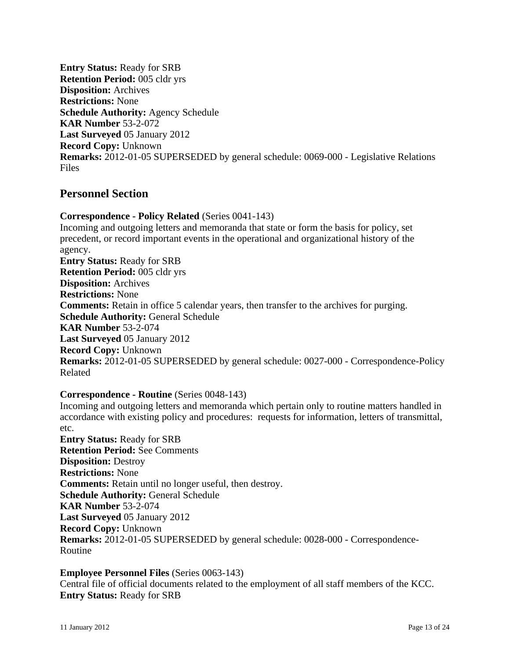**Entry Status:** Ready for SRB **Retention Period:** 005 cldr yrs **Disposition:** Archives **Restrictions:** None **Schedule Authority:** Agency Schedule **KAR Number** 53-2-072 **Last Surveyed** 05 January 2012 **Record Copy:** Unknown **Remarks:** 2012-01-05 SUPERSEDED by general schedule: 0069-000 - Legislative Relations Files

# **Personnel Section**

# **Correspondence - Policy Related** (Series 0041-143)

Incoming and outgoing letters and memoranda that state or form the basis for policy, set precedent, or record important events in the operational and organizational history of the agency. **Entry Status:** Ready for SRB **Retention Period:** 005 cldr yrs **Disposition:** Archives **Restrictions:** None **Comments:** Retain in office 5 calendar years, then transfer to the archives for purging. **Schedule Authority:** General Schedule **KAR Number** 53-2-074 **Last Surveyed** 05 January 2012 **Record Copy:** Unknown **Remarks:** 2012-01-05 SUPERSEDED by general schedule: 0027-000 - Correspondence-Policy Related

## **Correspondence - Routine** (Series 0048-143)

Incoming and outgoing letters and memoranda which pertain only to routine matters handled in accordance with existing policy and procedures: requests for information, letters of transmittal, etc. **Entry Status:** Ready for SRB

**Retention Period:** See Comments **Disposition:** Destroy **Restrictions:** None **Comments:** Retain until no longer useful, then destroy. **Schedule Authority:** General Schedule **KAR Number** 53-2-074 **Last Surveyed** 05 January 2012 **Record Copy:** Unknown **Remarks:** 2012-01-05 SUPERSEDED by general schedule: 0028-000 - Correspondence-Routine

**Employee Personnel Files** (Series 0063-143) Central file of official documents related to the employment of all staff members of the KCC. **Entry Status:** Ready for SRB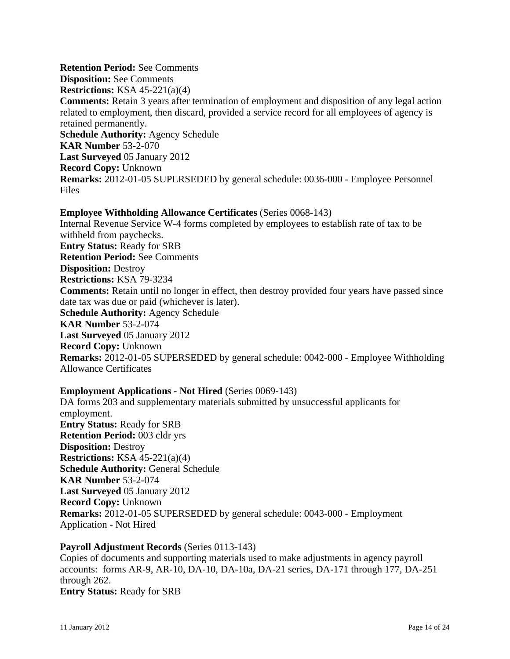**Retention Period:** See Comments **Disposition:** See Comments **Restrictions:** KSA 45-221(a)(4) **Comments:** Retain 3 years after termination of employment and disposition of any legal action related to employment, then discard, provided a service record for all employees of agency is retained permanently. **Schedule Authority:** Agency Schedule **KAR Number** 53-2-070 **Last Surveyed** 05 January 2012 **Record Copy:** Unknown **Remarks:** 2012-01-05 SUPERSEDED by general schedule: 0036-000 - Employee Personnel Files

**Employee Withholding Allowance Certificates** (Series 0068-143) Internal Revenue Service W-4 forms completed by employees to establish rate of tax to be withheld from paychecks. **Entry Status:** Ready for SRB **Retention Period:** See Comments **Disposition:** Destroy **Restrictions:** KSA 79-3234 **Comments:** Retain until no longer in effect, then destroy provided four years have passed since date tax was due or paid (whichever is later). **Schedule Authority:** Agency Schedule **KAR Number** 53-2-074 **Last Surveyed** 05 January 2012 **Record Copy:** Unknown **Remarks:** 2012-01-05 SUPERSEDED by general schedule: 0042-000 - Employee Withholding Allowance Certificates

## **Employment Applications - Not Hired** (Series 0069-143)

DA forms 203 and supplementary materials submitted by unsuccessful applicants for employment. **Entry Status:** Ready for SRB **Retention Period:** 003 cldr yrs **Disposition:** Destroy **Restrictions:** KSA 45-221(a)(4) **Schedule Authority:** General Schedule **KAR Number** 53-2-074 **Last Surveyed** 05 January 2012 **Record Copy:** Unknown **Remarks:** 2012-01-05 SUPERSEDED by general schedule: 0043-000 - Employment Application - Not Hired

#### **Payroll Adjustment Records** (Series 0113-143)

Copies of documents and supporting materials used to make adjustments in agency payroll accounts: forms AR-9, AR-10, DA-10, DA-10a, DA-21 series, DA-171 through 177, DA-251 through 262. **Entry Status:** Ready for SRB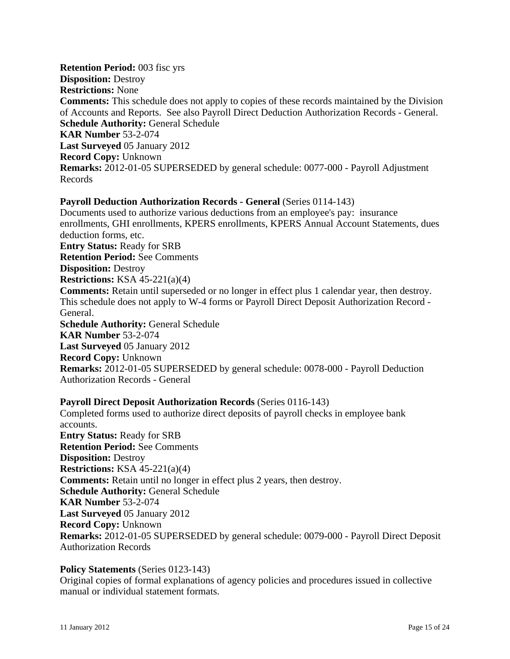**Retention Period:** 003 fisc yrs **Disposition:** Destroy **Restrictions:** None **Comments:** This schedule does not apply to copies of these records maintained by the Division of Accounts and Reports. See also Payroll Direct Deduction Authorization Records - General. **Schedule Authority:** General Schedule **KAR Number** 53-2-074 **Last Surveyed** 05 January 2012 **Record Copy:** Unknown **Remarks:** 2012-01-05 SUPERSEDED by general schedule: 0077-000 - Payroll Adjustment Records

#### **Payroll Deduction Authorization Records - General** (Series 0114-143)

Documents used to authorize various deductions from an employee's pay: insurance enrollments, GHI enrollments, KPERS enrollments, KPERS Annual Account Statements, dues deduction forms, etc. **Entry Status:** Ready for SRB

**Retention Period:** See Comments **Disposition:** Destroy

**Restrictions:** KSA 45-221(a)(4)

**Comments:** Retain until superseded or no longer in effect plus 1 calendar year, then destroy. This schedule does not apply to W-4 forms or Payroll Direct Deposit Authorization Record - General.

**Schedule Authority:** General Schedule **KAR Number** 53-2-074 **Last Surveyed** 05 January 2012 **Record Copy:** Unknown **Remarks:** 2012-01-05 SUPERSEDED by general schedule: 0078-000 - Payroll Deduction Authorization Records - General

## **Payroll Direct Deposit Authorization Records** (Series 0116-143)

Completed forms used to authorize direct deposits of payroll checks in employee bank accounts. **Entry Status:** Ready for SRB **Retention Period:** See Comments **Disposition:** Destroy **Restrictions:** KSA 45-221(a)(4) **Comments:** Retain until no longer in effect plus 2 years, then destroy. **Schedule Authority:** General Schedule **KAR Number** 53-2-074 **Last Surveyed** 05 January 2012 **Record Copy:** Unknown **Remarks:** 2012-01-05 SUPERSEDED by general schedule: 0079-000 - Payroll Direct Deposit Authorization Records

## **Policy Statements** (Series 0123-143)

Original copies of formal explanations of agency policies and procedures issued in collective manual or individual statement formats.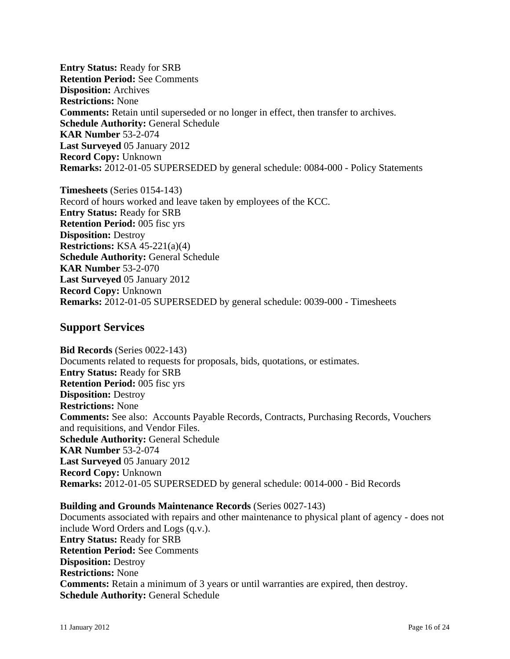**Entry Status:** Ready for SRB **Retention Period:** See Comments **Disposition:** Archives **Restrictions:** None **Comments:** Retain until superseded or no longer in effect, then transfer to archives. **Schedule Authority:** General Schedule **KAR Number** 53-2-074 **Last Surveyed** 05 January 2012 **Record Copy:** Unknown **Remarks:** 2012-01-05 SUPERSEDED by general schedule: 0084-000 - Policy Statements

**Timesheets** (Series 0154-143) Record of hours worked and leave taken by employees of the KCC. **Entry Status:** Ready for SRB **Retention Period:** 005 fisc yrs **Disposition:** Destroy **Restrictions:** KSA 45-221(a)(4) **Schedule Authority:** General Schedule **KAR Number** 53-2-070 **Last Surveyed** 05 January 2012 **Record Copy:** Unknown **Remarks:** 2012-01-05 SUPERSEDED by general schedule: 0039-000 - Timesheets

# **Support Services**

**Bid Records** (Series 0022-143) Documents related to requests for proposals, bids, quotations, or estimates. **Entry Status:** Ready for SRB **Retention Period:** 005 fisc yrs **Disposition:** Destroy **Restrictions:** None **Comments:** See also: Accounts Payable Records, Contracts, Purchasing Records, Vouchers and requisitions, and Vendor Files. **Schedule Authority:** General Schedule **KAR Number** 53-2-074 **Last Surveyed** 05 January 2012 **Record Copy:** Unknown **Remarks:** 2012-01-05 SUPERSEDED by general schedule: 0014-000 - Bid Records

# **Building and Grounds Maintenance Records** (Series 0027-143) Documents associated with repairs and other maintenance to physical plant of agency - does not include Word Orders and Logs (q.v.). **Entry Status:** Ready for SRB **Retention Period:** See Comments **Disposition:** Destroy **Restrictions:** None **Comments:** Retain a minimum of 3 years or until warranties are expired, then destroy. **Schedule Authority:** General Schedule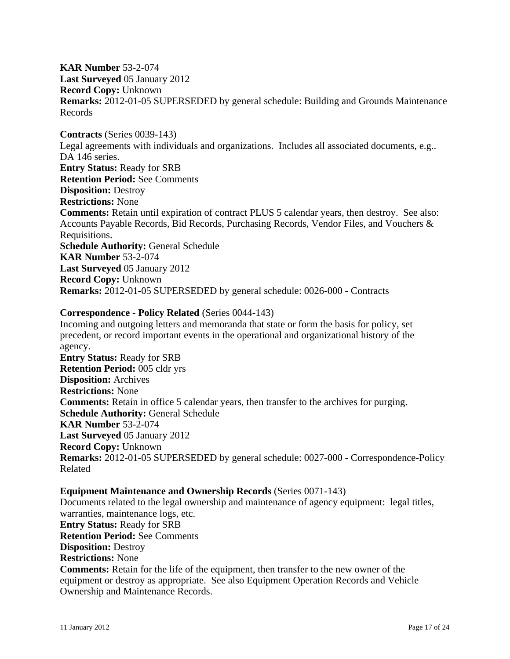**KAR Number** 53-2-074 **Last Surveyed** 05 January 2012 **Record Copy:** Unknown **Remarks:** 2012-01-05 SUPERSEDED by general schedule: Building and Grounds Maintenance Records

**Contracts** (Series 0039-143) Legal agreements with individuals and organizations. Includes all associated documents, e.g.. DA 146 series. **Entry Status:** Ready for SRB **Retention Period:** See Comments **Disposition:** Destroy **Restrictions:** None **Comments:** Retain until expiration of contract PLUS 5 calendar years, then destroy. See also: Accounts Payable Records, Bid Records, Purchasing Records, Vendor Files, and Vouchers & Requisitions. **Schedule Authority:** General Schedule **KAR Number** 53-2-074 **Last Surveyed** 05 January 2012 **Record Copy:** Unknown **Remarks:** 2012-01-05 SUPERSEDED by general schedule: 0026-000 - Contracts

## **Correspondence - Policy Related** (Series 0044-143)

Incoming and outgoing letters and memoranda that state or form the basis for policy, set precedent, or record important events in the operational and organizational history of the agency. **Entry Status:** Ready for SRB **Retention Period:** 005 cldr yrs **Disposition:** Archives **Restrictions:** None **Comments:** Retain in office 5 calendar years, then transfer to the archives for purging. **Schedule Authority:** General Schedule **KAR Number** 53-2-074 **Last Surveyed** 05 January 2012 **Record Copy:** Unknown **Remarks:** 2012-01-05 SUPERSEDED by general schedule: 0027-000 - Correspondence-Policy

Related

#### **Equipment Maintenance and Ownership Records** (Series 0071-143)

Documents related to the legal ownership and maintenance of agency equipment: legal titles, warranties, maintenance logs, etc. **Entry Status:** Ready for SRB **Retention Period:** See Comments **Disposition:** Destroy **Restrictions:** None **Comments:** Retain for the life of the equipment, then transfer to the new owner of the equipment or destroy as appropriate. See also Equipment Operation Records and Vehicle Ownership and Maintenance Records.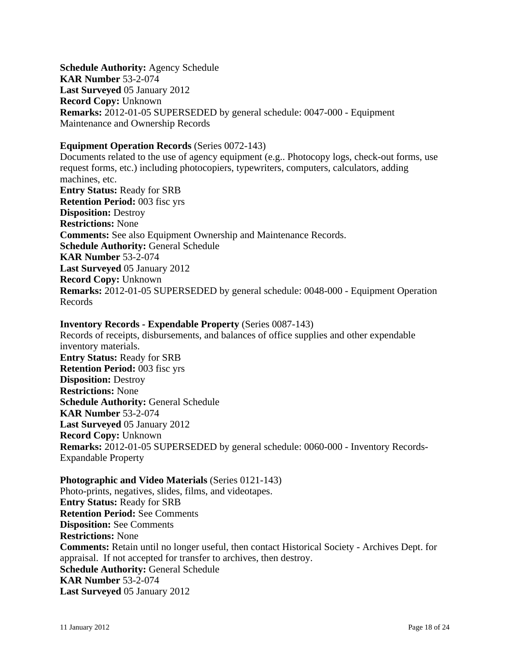**Schedule Authority:** Agency Schedule **KAR Number** 53-2-074 **Last Surveyed** 05 January 2012 **Record Copy:** Unknown **Remarks:** 2012-01-05 SUPERSEDED by general schedule: 0047-000 - Equipment Maintenance and Ownership Records

### **Equipment Operation Records** (Series 0072-143)

Documents related to the use of agency equipment (e.g.. Photocopy logs, check-out forms, use request forms, etc.) including photocopiers, typewriters, computers, calculators, adding machines, etc. **Entry Status:** Ready for SRB **Retention Period:** 003 fisc yrs **Disposition:** Destroy **Restrictions:** None **Comments:** See also Equipment Ownership and Maintenance Records. **Schedule Authority:** General Schedule **KAR Number** 53-2-074 **Last Surveyed** 05 January 2012 **Record Copy:** Unknown **Remarks:** 2012-01-05 SUPERSEDED by general schedule: 0048-000 - Equipment Operation Records

#### **Inventory Records - Expendable Property** (Series 0087-143)

Records of receipts, disbursements, and balances of office supplies and other expendable inventory materials. **Entry Status:** Ready for SRB **Retention Period:** 003 fisc yrs **Disposition:** Destroy **Restrictions:** None **Schedule Authority:** General Schedule **KAR Number** 53-2-074 **Last Surveyed** 05 January 2012 **Record Copy:** Unknown **Remarks:** 2012-01-05 SUPERSEDED by general schedule: 0060-000 - Inventory Records-Expandable Property

**Photographic and Video Materials** (Series 0121-143) Photo-prints, negatives, slides, films, and videotapes. **Entry Status:** Ready for SRB **Retention Period:** See Comments **Disposition:** See Comments **Restrictions:** None **Comments:** Retain until no longer useful, then contact Historical Society - Archives Dept. for appraisal. If not accepted for transfer to archives, then destroy. **Schedule Authority:** General Schedule **KAR Number** 53-2-074 **Last Surveyed** 05 January 2012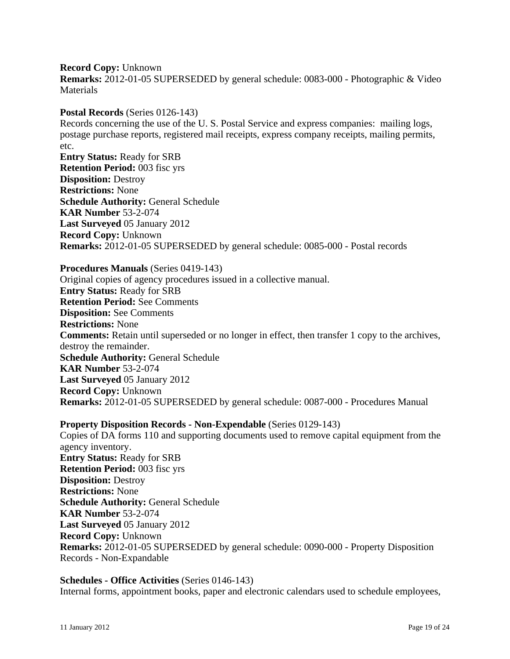**Record Copy:** Unknown **Remarks:** 2012-01-05 SUPERSEDED by general schedule: 0083-000 - Photographic & Video **Materials** 

**Postal Records** (Series 0126-143)

Records concerning the use of the U. S. Postal Service and express companies: mailing logs, postage purchase reports, registered mail receipts, express company receipts, mailing permits, etc.

**Entry Status:** Ready for SRB **Retention Period:** 003 fisc yrs **Disposition:** Destroy **Restrictions:** None **Schedule Authority:** General Schedule **KAR Number** 53-2-074 **Last Surveyed** 05 January 2012 **Record Copy:** Unknown **Remarks:** 2012-01-05 SUPERSEDED by general schedule: 0085-000 - Postal records

#### **Procedures Manuals** (Series 0419-143)

Original copies of agency procedures issued in a collective manual. **Entry Status:** Ready for SRB **Retention Period:** See Comments **Disposition:** See Comments **Restrictions:** None **Comments:** Retain until superseded or no longer in effect, then transfer 1 copy to the archives, destroy the remainder. **Schedule Authority:** General Schedule **KAR Number** 53-2-074 **Last Surveyed** 05 January 2012 **Record Copy:** Unknown **Remarks:** 2012-01-05 SUPERSEDED by general schedule: 0087-000 - Procedures Manual

# **Property Disposition Records - Non-Expendable** (Series 0129-143)

Copies of DA forms 110 and supporting documents used to remove capital equipment from the agency inventory. **Entry Status:** Ready for SRB **Retention Period:** 003 fisc yrs **Disposition:** Destroy **Restrictions:** None **Schedule Authority:** General Schedule **KAR Number** 53-2-074 **Last Surveyed** 05 January 2012 **Record Copy:** Unknown **Remarks:** 2012-01-05 SUPERSEDED by general schedule: 0090-000 - Property Disposition Records - Non-Expandable

# **Schedules - Office Activities** (Series 0146-143)

Internal forms, appointment books, paper and electronic calendars used to schedule employees,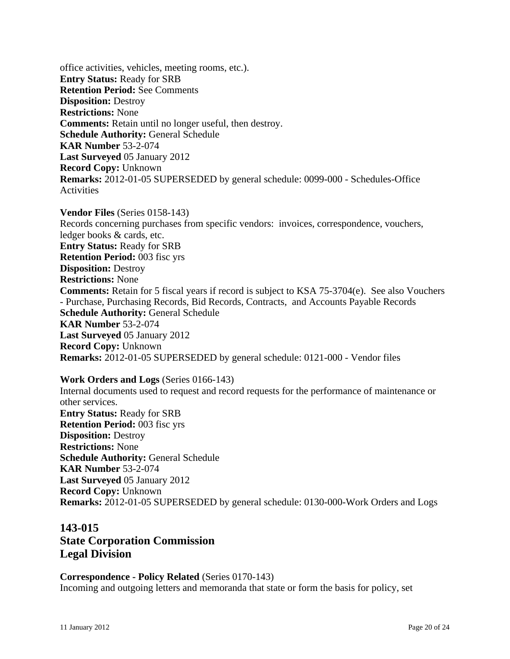office activities, vehicles, meeting rooms, etc.). **Entry Status:** Ready for SRB **Retention Period:** See Comments **Disposition:** Destroy **Restrictions:** None **Comments:** Retain until no longer useful, then destroy. **Schedule Authority:** General Schedule **KAR Number** 53-2-074 **Last Surveyed** 05 January 2012 **Record Copy:** Unknown **Remarks:** 2012-01-05 SUPERSEDED by general schedule: 0099-000 - Schedules-Office **Activities** 

**Vendor Files** (Series 0158-143) Records concerning purchases from specific vendors: invoices, correspondence, vouchers, ledger books & cards, etc. **Entry Status:** Ready for SRB **Retention Period:** 003 fisc yrs **Disposition:** Destroy **Restrictions:** None **Comments:** Retain for 5 fiscal years if record is subject to KSA 75-3704(e). See also Vouchers - Purchase, Purchasing Records, Bid Records, Contracts, and Accounts Payable Records **Schedule Authority:** General Schedule **KAR Number** 53-2-074 **Last Surveyed** 05 January 2012 **Record Copy:** Unknown **Remarks:** 2012-01-05 SUPERSEDED by general schedule: 0121-000 - Vendor files

**Work Orders and Logs** (Series 0166-143) Internal documents used to request and record requests for the performance of maintenance or other services. **Entry Status:** Ready for SRB **Retention Period:** 003 fisc yrs **Disposition:** Destroy **Restrictions:** None **Schedule Authority:** General Schedule **KAR Number** 53-2-074 **Last Surveyed** 05 January 2012 **Record Copy:** Unknown **Remarks:** 2012-01-05 SUPERSEDED by general schedule: 0130-000-Work Orders and Logs

# **143-015 State Corporation Commission Legal Division**

**Correspondence - Policy Related** (Series 0170-143) Incoming and outgoing letters and memoranda that state or form the basis for policy, set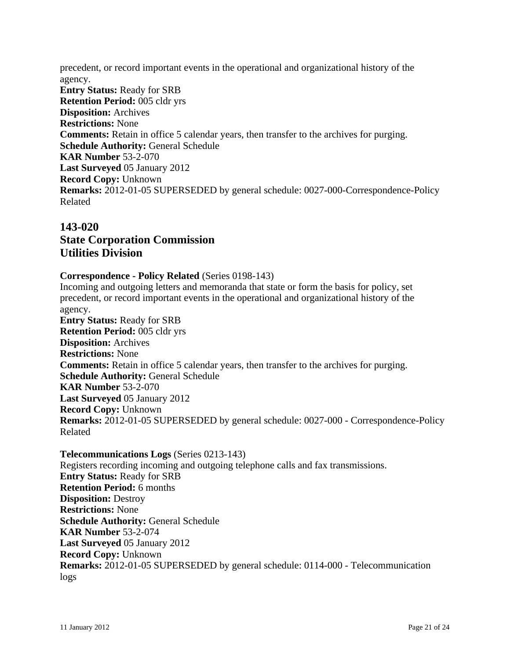precedent, or record important events in the operational and organizational history of the agency. **Entry Status:** Ready for SRB **Retention Period:** 005 cldr yrs **Disposition:** Archives **Restrictions:** None **Comments:** Retain in office 5 calendar years, then transfer to the archives for purging. **Schedule Authority:** General Schedule **KAR Number** 53-2-070 **Last Surveyed** 05 January 2012 **Record Copy:** Unknown **Remarks:** 2012-01-05 SUPERSEDED by general schedule: 0027-000-Correspondence-Policy Related

# **143-020 State Corporation Commission Utilities Division**

## **Correspondence - Policy Related** (Series 0198-143)

Incoming and outgoing letters and memoranda that state or form the basis for policy, set precedent, or record important events in the operational and organizational history of the agency. **Entry Status:** Ready for SRB **Retention Period:** 005 cldr yrs **Disposition:** Archives **Restrictions:** None **Comments:** Retain in office 5 calendar years, then transfer to the archives for purging. **Schedule Authority:** General Schedule **KAR Number** 53-2-070 **Last Surveyed** 05 January 2012 **Record Copy:** Unknown **Remarks:** 2012-01-05 SUPERSEDED by general schedule: 0027-000 - Correspondence-Policy Related

**Telecommunications Logs** (Series 0213-143) Registers recording incoming and outgoing telephone calls and fax transmissions. **Entry Status:** Ready for SRB **Retention Period:** 6 months **Disposition:** Destroy **Restrictions:** None **Schedule Authority:** General Schedule **KAR Number** 53-2-074 **Last Surveyed** 05 January 2012 **Record Copy:** Unknown **Remarks:** 2012-01-05 SUPERSEDED by general schedule: 0114-000 - Telecommunication logs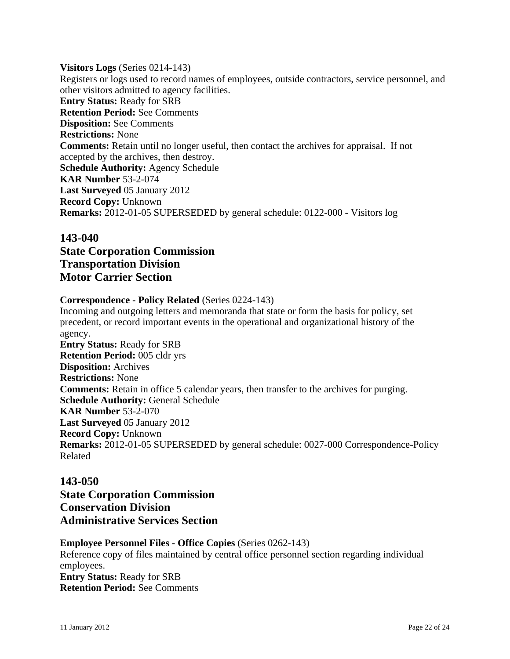**Visitors Logs** (Series 0214-143) Registers or logs used to record names of employees, outside contractors, service personnel, and other visitors admitted to agency facilities. **Entry Status:** Ready for SRB **Retention Period:** See Comments **Disposition:** See Comments **Restrictions:** None **Comments:** Retain until no longer useful, then contact the archives for appraisal. If not accepted by the archives, then destroy. **Schedule Authority:** Agency Schedule **KAR Number** 53-2-074 **Last Surveyed** 05 January 2012 **Record Copy:** Unknown **Remarks:** 2012-01-05 SUPERSEDED by general schedule: 0122-000 - Visitors log

# **143-040 State Corporation Commission Transportation Division Motor Carrier Section**

## **Correspondence - Policy Related** (Series 0224-143)

Incoming and outgoing letters and memoranda that state or form the basis for policy, set precedent, or record important events in the operational and organizational history of the agency. **Entry Status:** Ready for SRB **Retention Period:** 005 cldr yrs **Disposition:** Archives **Restrictions:** None **Comments:** Retain in office 5 calendar years, then transfer to the archives for purging. **Schedule Authority:** General Schedule **KAR Number** 53-2-070 **Last Surveyed** 05 January 2012 **Record Copy:** Unknown **Remarks:** 2012-01-05 SUPERSEDED by general schedule: 0027-000 Correspondence-Policy Related

# **143-050**

**State Corporation Commission Conservation Division Administrative Services Section**

## **Employee Personnel Files - Office Copies** (Series 0262-143)

Reference copy of files maintained by central office personnel section regarding individual employees. **Entry Status:** Ready for SRB **Retention Period:** See Comments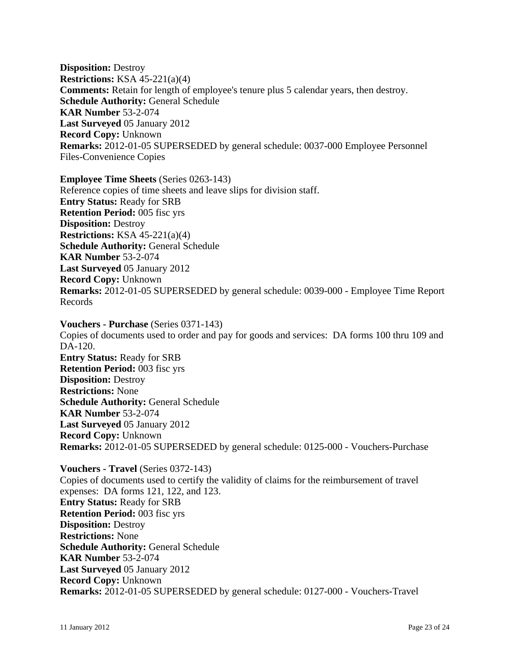**Disposition:** Destroy **Restrictions:** KSA 45-221(a)(4) **Comments:** Retain for length of employee's tenure plus 5 calendar years, then destroy. **Schedule Authority:** General Schedule **KAR Number** 53-2-074 **Last Surveyed** 05 January 2012 **Record Copy:** Unknown **Remarks:** 2012-01-05 SUPERSEDED by general schedule: 0037-000 Employee Personnel Files-Convenience Copies

**Employee Time Sheets** (Series 0263-143) Reference copies of time sheets and leave slips for division staff. **Entry Status:** Ready for SRB **Retention Period:** 005 fisc yrs **Disposition:** Destroy **Restrictions:** KSA 45-221(a)(4) **Schedule Authority:** General Schedule **KAR Number** 53-2-074 **Last Surveyed** 05 January 2012 **Record Copy:** Unknown **Remarks:** 2012-01-05 SUPERSEDED by general schedule: 0039-000 - Employee Time Report Records

**Vouchers - Purchase** (Series 0371-143) Copies of documents used to order and pay for goods and services: DA forms 100 thru 109 and DA-120. **Entry Status:** Ready for SRB **Retention Period:** 003 fisc yrs **Disposition:** Destroy **Restrictions:** None **Schedule Authority:** General Schedule **KAR Number** 53-2-074 **Last Surveyed** 05 January 2012 **Record Copy:** Unknown **Remarks:** 2012-01-05 SUPERSEDED by general schedule: 0125-000 - Vouchers-Purchase

**Vouchers - Travel** (Series 0372-143) Copies of documents used to certify the validity of claims for the reimbursement of travel expenses: DA forms 121, 122, and 123. **Entry Status:** Ready for SRB **Retention Period:** 003 fisc yrs **Disposition:** Destroy **Restrictions:** None **Schedule Authority:** General Schedule **KAR Number** 53-2-074 **Last Surveyed** 05 January 2012 **Record Copy:** Unknown **Remarks:** 2012-01-05 SUPERSEDED by general schedule: 0127-000 - Vouchers-Travel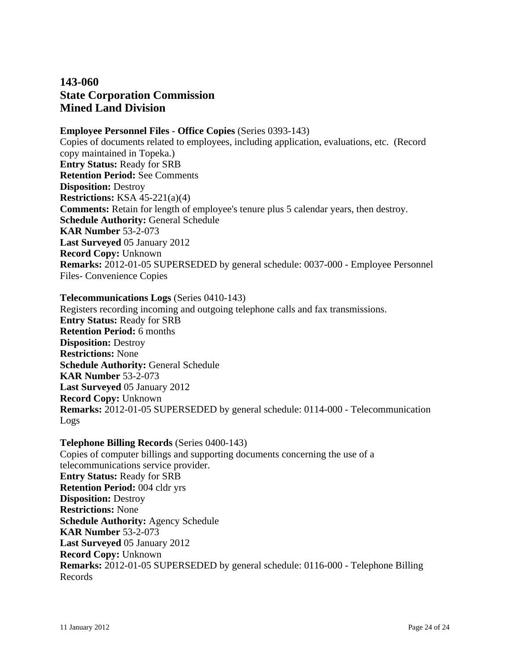# **143-060 State Corporation Commission Mined Land Division**

# **Employee Personnel Files - Office Copies** (Series 0393-143)

Copies of documents related to employees, including application, evaluations, etc. (Record copy maintained in Topeka.) **Entry Status:** Ready for SRB **Retention Period:** See Comments **Disposition:** Destroy **Restrictions:** KSA 45-221(a)(4) **Comments:** Retain for length of employee's tenure plus 5 calendar years, then destroy. **Schedule Authority:** General Schedule **KAR Number** 53-2-073 **Last Surveyed** 05 January 2012 **Record Copy:** Unknown **Remarks:** 2012-01-05 SUPERSEDED by general schedule: 0037-000 - Employee Personnel Files- Convenience Copies

#### **Telecommunications Logs** (Series 0410-143)

Registers recording incoming and outgoing telephone calls and fax transmissions. **Entry Status:** Ready for SRB **Retention Period:** 6 months **Disposition:** Destroy **Restrictions:** None **Schedule Authority:** General Schedule **KAR Number** 53-2-073 **Last Surveyed** 05 January 2012 **Record Copy:** Unknown **Remarks:** 2012-01-05 SUPERSEDED by general schedule: 0114-000 - Telecommunication Logs

**Telephone Billing Records** (Series 0400-143) Copies of computer billings and supporting documents concerning the use of a telecommunications service provider. **Entry Status:** Ready for SRB **Retention Period:** 004 cldr yrs **Disposition:** Destroy **Restrictions:** None **Schedule Authority:** Agency Schedule **KAR Number** 53-2-073 **Last Surveyed** 05 January 2012 **Record Copy:** Unknown **Remarks:** 2012-01-05 SUPERSEDED by general schedule: 0116-000 - Telephone Billing Records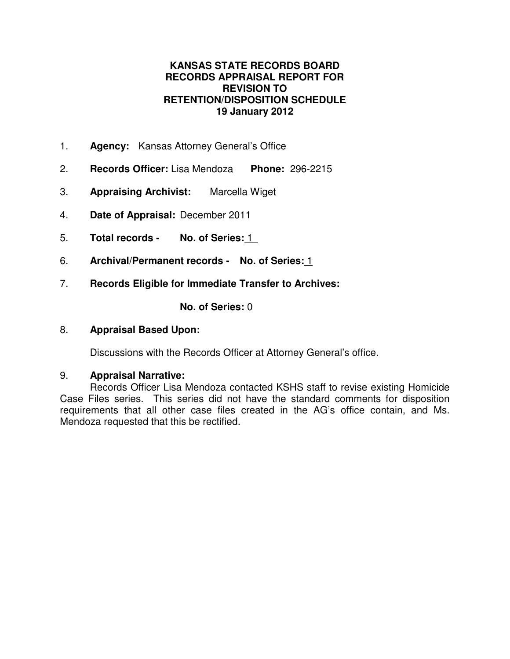# **KANSAS STATE RECORDS BOARD RECORDS APPRAISAL REPORT FOR REVISION TO RETENTION/DISPOSITION SCHEDULE 19 January 2012**

- 1. **Agency:** Kansas Attorney General's Office
- 2. **Records Officer:** Lisa Mendoza **Phone:** 296-2215
- 3. **Appraising Archivist:** Marcella Wiget
- 4. **Date of Appraisal:** December 2011
- 5. **Total records No. of Series:** 1
- 6. **Archival/Permanent records No. of Series:** 1
- 7. **Records Eligible for Immediate Transfer to Archives:**

**No. of Series:** 0

# 8. **Appraisal Based Upon:**

Discussions with the Records Officer at Attorney General's office.

## 9. **Appraisal Narrative:**

Records Officer Lisa Mendoza contacted KSHS staff to revise existing Homicide Case Files series. This series did not have the standard comments for disposition requirements that all other case files created in the AG's office contain, and Ms. Mendoza requested that this be rectified.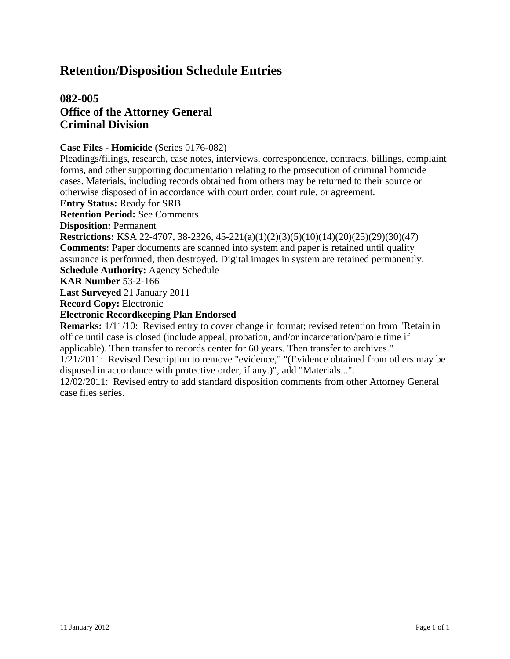# **Retention/Disposition Schedule Entries**

# **082-005 Office of the Attorney General Criminal Division**

### **Case Files - Homicide** (Series 0176-082)

Pleadings/filings, research, case notes, interviews, correspondence, contracts, billings, complaint forms, and other supporting documentation relating to the prosecution of criminal homicide cases. Materials, including records obtained from others may be returned to their source or otherwise disposed of in accordance with court order, court rule, or agreement.

**Entry Status:** Ready for SRB

**Retention Period:** See Comments

**Disposition:** Permanent

**Restrictions:** KSA 22-4707, 38-2326, 45-221(a)(1)(2)(3)(5)(10)(14)(20)(25)(29)(30)(47) **Comments:** Paper documents are scanned into system and paper is retained until quality assurance is performed, then destroyed. Digital images in system are retained permanently. **Schedule Authority:** Agency Schedule

**KAR Number** 53-2-166

**Last Surveyed** 21 January 2011

**Record Copy:** Electronic

## **Electronic Recordkeeping Plan Endorsed**

**Remarks:** 1/11/10: Revised entry to cover change in format; revised retention from "Retain in office until case is closed (include appeal, probation, and/or incarceration/parole time if applicable). Then transfer to records center for 60 years. Then transfer to archives."

1/21/2011: Revised Description to remove "evidence," "(Evidence obtained from others may be disposed in accordance with protective order, if any.)", add "Materials...".

12/02/2011: Revised entry to add standard disposition comments from other Attorney General case files series.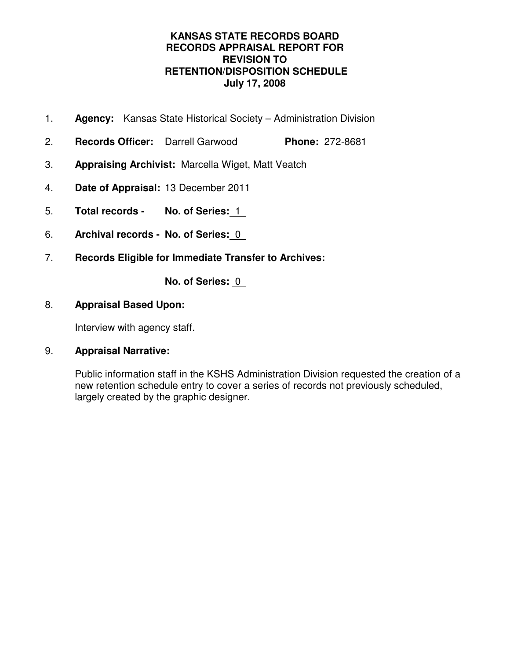# **KANSAS STATE RECORDS BOARD RECORDS APPRAISAL REPORT FOR REVISION TO RETENTION/DISPOSITION SCHEDULE July 17, 2008**

- 1. **Agency:** Kansas State Historical Society Administration Division
- 2. **Records Officer:** Darrell Garwood **Phone:** 272-8681
- 3. **Appraising Archivist:** Marcella Wiget, Matt Veatch
- 4. **Date of Appraisal:** 13 December 2011
- 5. **Total records No. of Series:** 1
- 6. **Archival records No. of Series:** 0
- 7. **Records Eligible for Immediate Transfer to Archives:**

**No. of Series:** 0

# 8. **Appraisal Based Upon:**

Interview with agency staff.

# 9. **Appraisal Narrative:**

Public information staff in the KSHS Administration Division requested the creation of a new retention schedule entry to cover a series of records not previously scheduled, largely created by the graphic designer.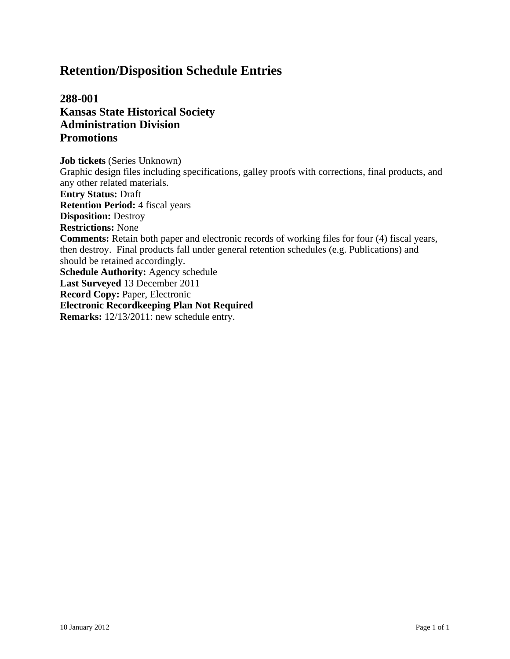# **Retention/Disposition Schedule Entries**

**288-001 Kansas State Historical Society Administration Division Promotions**

**Job tickets** (Series Unknown) Graphic design files including specifications, galley proofs with corrections, final products, and any other related materials. **Entry Status:** Draft **Retention Period:** 4 fiscal years **Disposition:** Destroy **Restrictions:** None **Comments:** Retain both paper and electronic records of working files for four (4) fiscal years, then destroy. Final products fall under general retention schedules (e.g. Publications) and should be retained accordingly. **Schedule Authority:** Agency schedule **Last Surveyed** 13 December 2011 **Record Copy:** Paper, Electronic **Electronic Recordkeeping Plan Not Required Remarks:** 12/13/2011: new schedule entry.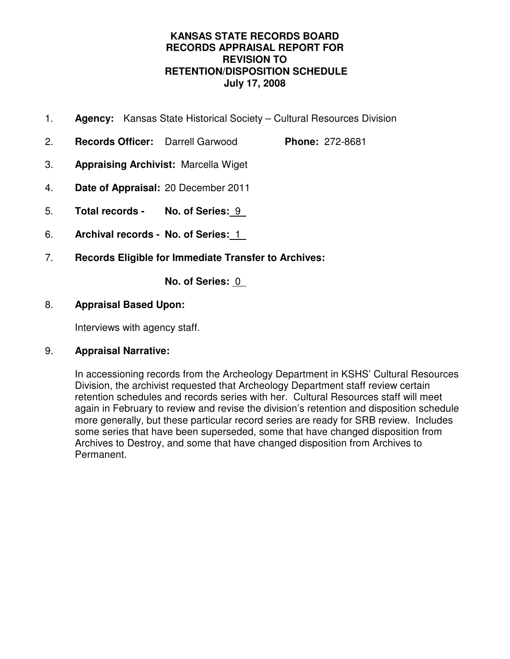# **KANSAS STATE RECORDS BOARD RECORDS APPRAISAL REPORT FOR REVISION TO RETENTION/DISPOSITION SCHEDULE July 17, 2008**

- 1. **Agency:** Kansas State Historical Society Cultural Resources Division
- 2. **Records Officer:** Darrell Garwood **Phone:** 272-8681
- 3. **Appraising Archivist:** Marcella Wiget
- 4. **Date of Appraisal:** 20 December 2011
- 5. **Total records No. of Series:** 9
- 6. **Archival records No. of Series:** 1
- 7. **Records Eligible for Immediate Transfer to Archives:**

**No. of Series:** 0

# 8. **Appraisal Based Upon:**

Interviews with agency staff.

# 9. **Appraisal Narrative:**

In accessioning records from the Archeology Department in KSHS' Cultural Resources Division, the archivist requested that Archeology Department staff review certain retention schedules and records series with her. Cultural Resources staff will meet again in February to review and revise the division's retention and disposition schedule more generally, but these particular record series are ready for SRB review. Includes some series that have been superseded, some that have changed disposition from Archives to Destroy, and some that have changed disposition from Archives to Permanent.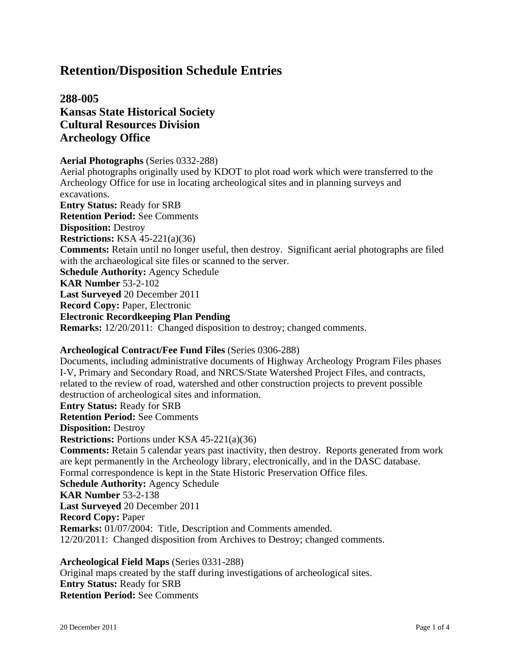# **Retention/Disposition Schedule Entries**

# **288-005 Kansas State Historical Society Cultural Resources Division Archeology Office**

#### **Aerial Photographs** (Series 0332-288)

Aerial photographs originally used by KDOT to plot road work which were transferred to the Archeology Office for use in locating archeological sites and in planning surveys and excavations. **Entry Status:** Ready for SRB **Retention Period:** See Comments **Disposition:** Destroy **Restrictions:** KSA 45-221(a)(36) **Comments:** Retain until no longer useful, then destroy. Significant aerial photographs are filed with the archaeological site files or scanned to the server. **Schedule Authority:** Agency Schedule **KAR Number** 53-2-102 **Last Surveyed** 20 December 2011 **Record Copy:** Paper, Electronic **Electronic Recordkeeping Plan Pending Remarks:** 12/20/2011: Changed disposition to destroy; changed comments.

# **Archeological Contract/Fee Fund Files** (Series 0306-288)

Documents, including administrative documents of Highway Archeology Program Files phases I-V, Primary and Secondary Road, and NRCS/State Watershed Project Files, and contracts, related to the review of road, watershed and other construction projects to prevent possible destruction of archeological sites and information. **Entry Status:** Ready for SRB **Retention Period:** See Comments **Disposition:** Destroy **Restrictions:** Portions under KSA 45-221(a)(36) **Comments:** Retain 5 calendar years past inactivity, then destroy. Reports generated from work are kept permanently in the Archeology library, electronically, and in the DASC database. Formal correspondence is kept in the State Historic Preservation Office files. **Schedule Authority:** Agency Schedule **KAR Number** 53-2-138 **Last Surveyed** 20 December 2011 **Record Copy:** Paper **Remarks:** 01/07/2004: Title, Description and Comments amended. 12/20/2011: Changed disposition from Archives to Destroy; changed comments.

**Archeological Field Maps** (Series 0331-288) Original maps created by the staff during investigations of archeological sites. **Entry Status:** Ready for SRB **Retention Period:** See Comments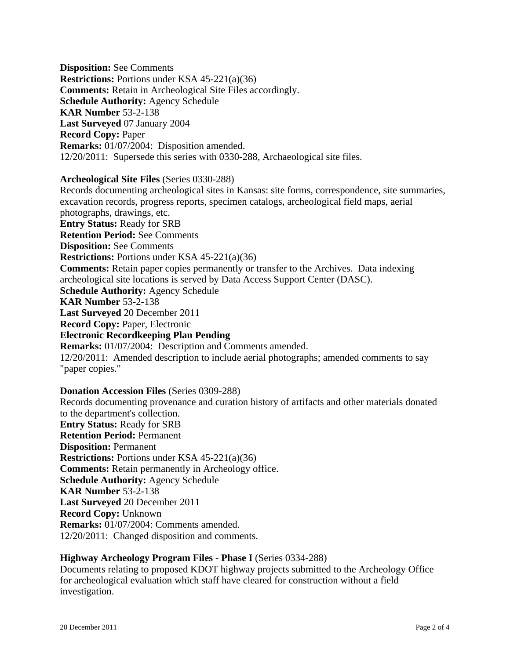**Disposition:** See Comments **Restrictions:** Portions under KSA 45-221(a)(36) **Comments:** Retain in Archeological Site Files accordingly. **Schedule Authority:** Agency Schedule **KAR Number** 53-2-138 **Last Surveyed** 07 January 2004 **Record Copy:** Paper **Remarks:** 01/07/2004: Disposition amended. 12/20/2011: Supersede this series with 0330-288, Archaeological site files.

#### **Archeological Site Files** (Series 0330-288)

Records documenting archeological sites in Kansas: site forms, correspondence, site summaries, excavation records, progress reports, specimen catalogs, archeological field maps, aerial photographs, drawings, etc. **Entry Status:** Ready for SRB **Retention Period:** See Comments **Disposition:** See Comments **Restrictions:** Portions under KSA 45-221(a)(36) **Comments:** Retain paper copies permanently or transfer to the Archives. Data indexing archeological site locations is served by Data Access Support Center (DASC). **Schedule Authority:** Agency Schedule **KAR Number** 53-2-138 **Last Surveyed** 20 December 2011 **Record Copy:** Paper, Electronic **Electronic Recordkeeping Plan Pending Remarks:** 01/07/2004: Description and Comments amended. 12/20/2011: Amended description to include aerial photographs; amended comments to say "paper copies."

## **Donation Accession Files** (Series 0309-288)

Records documenting provenance and curation history of artifacts and other materials donated to the department's collection.

**Entry Status:** Ready for SRB **Retention Period:** Permanent **Disposition:** Permanent **Restrictions:** Portions under KSA 45-221(a)(36) **Comments:** Retain permanently in Archeology office. **Schedule Authority:** Agency Schedule **KAR Number** 53-2-138 **Last Surveyed** 20 December 2011 **Record Copy:** Unknown **Remarks:** 01/07/2004: Comments amended. 12/20/2011: Changed disposition and comments.

## **Highway Archeology Program Files - Phase I** (Series 0334-288)

Documents relating to proposed KDOT highway projects submitted to the Archeology Office for archeological evaluation which staff have cleared for construction without a field investigation.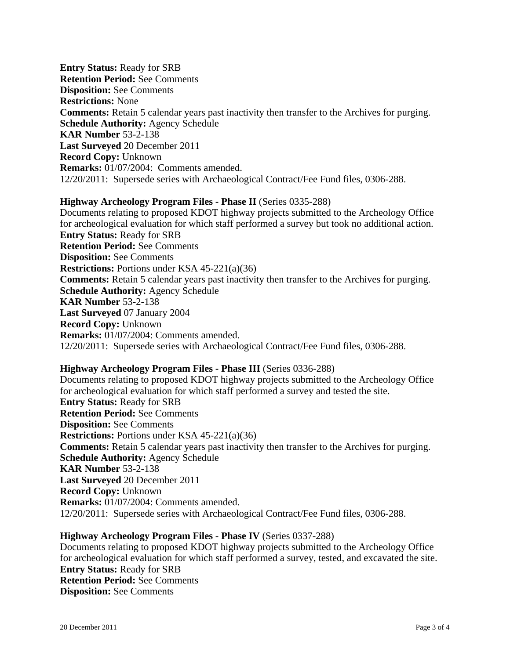**Entry Status:** Ready for SRB **Retention Period:** See Comments **Disposition:** See Comments **Restrictions:** None **Comments:** Retain 5 calendar years past inactivity then transfer to the Archives for purging. **Schedule Authority:** Agency Schedule **KAR Number** 53-2-138 **Last Surveyed** 20 December 2011 **Record Copy:** Unknown **Remarks:** 01/07/2004: Comments amended. 12/20/2011: Supersede series with Archaeological Contract/Fee Fund files, 0306-288.

#### **Highway Archeology Program Files - Phase II** (Series 0335-288)

Documents relating to proposed KDOT highway projects submitted to the Archeology Office for archeological evaluation for which staff performed a survey but took no additional action. **Entry Status:** Ready for SRB **Retention Period:** See Comments **Disposition:** See Comments **Restrictions:** Portions under KSA 45-221(a)(36) **Comments:** Retain 5 calendar years past inactivity then transfer to the Archives for purging. **Schedule Authority:** Agency Schedule **KAR Number** 53-2-138 **Last Surveyed** 07 January 2004 **Record Copy:** Unknown **Remarks:** 01/07/2004: Comments amended. 12/20/2011: Supersede series with Archaeological Contract/Fee Fund files, 0306-288.

#### **Highway Archeology Program Files - Phase III** (Series 0336-288)

Documents relating to proposed KDOT highway projects submitted to the Archeology Office for archeological evaluation for which staff performed a survey and tested the site. **Entry Status:** Ready for SRB **Retention Period:** See Comments **Disposition:** See Comments **Restrictions:** Portions under KSA 45-221(a)(36) **Comments:** Retain 5 calendar years past inactivity then transfer to the Archives for purging. **Schedule Authority:** Agency Schedule **KAR Number** 53-2-138 **Last Surveyed** 20 December 2011 **Record Copy:** Unknown **Remarks:** 01/07/2004: Comments amended. 12/20/2011: Supersede series with Archaeological Contract/Fee Fund files, 0306-288.

#### **Highway Archeology Program Files - Phase IV** (Series 0337-288)

Documents relating to proposed KDOT highway projects submitted to the Archeology Office for archeological evaluation for which staff performed a survey, tested, and excavated the site. **Entry Status:** Ready for SRB **Retention Period:** See Comments **Disposition:** See Comments